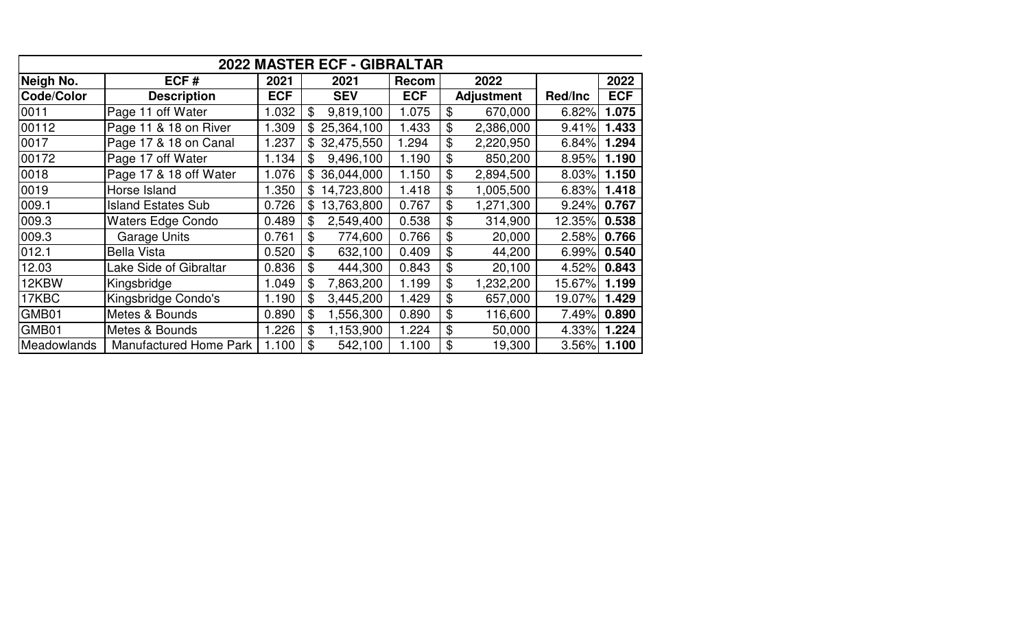|                    |                               |            | 2022 MASTER ECF - GIBRALTAR  |              |                   |         |            |
|--------------------|-------------------------------|------------|------------------------------|--------------|-------------------|---------|------------|
| Neigh No.          | ECF#                          | 2021       | 2021                         | <b>Recom</b> | 2022              |         | 2022       |
| Code/Color         | <b>Description</b>            | <b>ECF</b> | <b>SEV</b>                   | <b>ECF</b>   | <b>Adjustment</b> | Red/Inc | <b>ECF</b> |
| 0011               | Page 11 off Water             | 1.032      | \$<br>9,819,100              | 1.075        | \$<br>670,000     | 6.82%   | 1.075      |
| 00112              | Page 11 & 18 on River         | 1.309      | \$25,364,100                 | 1.433        | \$<br>2,386,000   | 9.41%   | 1.433      |
| 0017               | Page 17 & 18 on Canal         | 1.237      | 32,475,550<br>$\mathfrak{L}$ | 1.294        | \$<br>2,220,950   | 6.84%   | 1.294      |
| 00172              | Page 17 off Water             | 1.134      | 9,496,100<br>\$              | 1.190        | \$<br>850,200     | 8.95%   | 1.190      |
| 0018               | Page 17 & 18 off Water        | 1.076      | \$36,044,000                 | 1.150        | \$<br>2,894,500   | 8.03%   | 1.150      |
| 0019               | Horse Island                  | 1.350      | 14,723,800<br>\$             | 1.418        | \$<br>1,005,500   | 6.83%   | 1.418      |
| 009.1              | <b>Island Estates Sub</b>     | 0.726      | 13,763,800<br>\$             | 0.767        | \$<br>1,271,300   | 9.24%   | 0.767      |
| 009.3              | <b>Waters Edge Condo</b>      | 0.489      | 2,549,400<br>\$              | 0.538        | \$<br>314,900     | 12.35%  | 0.538      |
| 009.3              | <b>Garage Units</b>           | 0.761      | \$<br>774,600                | 0.766        | \$<br>20,000      | 2.58%   | 0.766      |
| 012.1              | <b>Bella Vista</b>            | 0.520      | \$<br>632,100                | 0.409        | \$<br>44,200      | 6.99%   | 0.540      |
| 12.03              | Lake Side of Gibraltar        | 0.836      | \$<br>444,300                | 0.843        | \$<br>20,100      | 4.52%   | 0.843      |
| 12KBW              | Kingsbridge                   | 1.049      | \$<br>7,863,200              | 1.199        | \$<br>1,232,200   | 15.67%  | 1.199      |
| 17KBC              | Kingsbridge Condo's           | 1.190      | \$<br>3,445,200              | 1.429        | \$<br>657,000     | 19.07%  | 1.429      |
| GMB01              | Metes & Bounds                | 0.890      | \$<br>1,556,300              | 0.890        | \$<br>116,600     | 7.49%   | 0.890      |
| GMB01              | Metes & Bounds                | 1.226      | \$<br>1,153,900              | 1.224        | \$<br>50,000      | 4.33%   | 1.224      |
| <b>Meadowlands</b> | <b>Manufactured Home Park</b> | 1.100      | \$<br>542,100                | 1.100        | \$<br>19,300      | 3.56%   | 1.100      |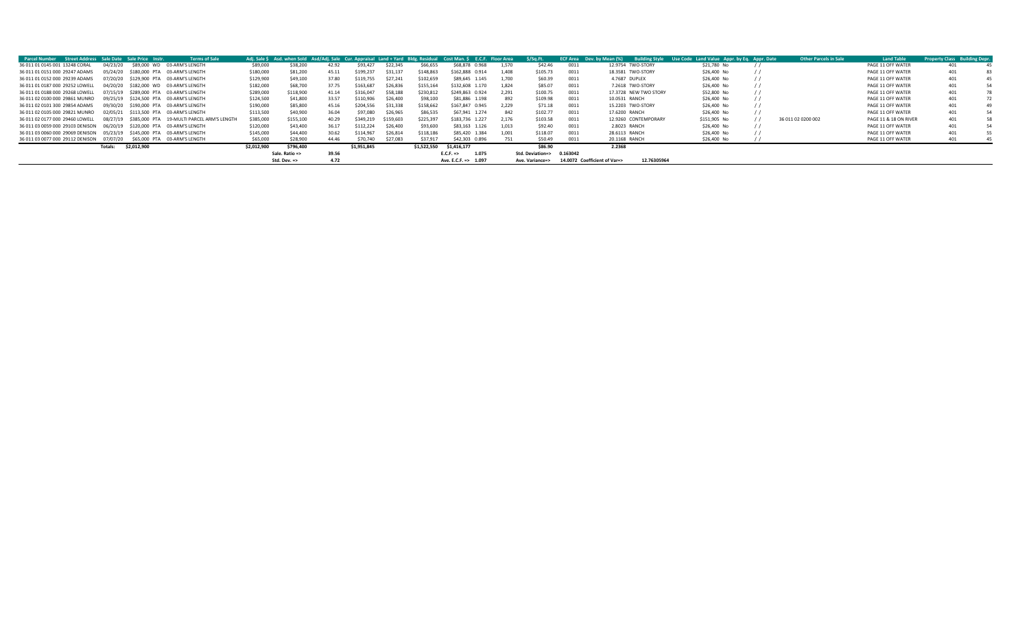| Street Address Sale Date Sale Price Instr.<br><b>Parcel Number</b>      |          |                                        | <b>Terms of Sale</b>                                 |             | Adi. Sale S Asd. when Sold Asd/Adi. Sale Cur. Appraisal Land + Yard Bldg. Residual Cost Man. S |       |             |           |             |                               | E.C.F. Floor Area | \$/Sq.Ft.        |          | <b>ECF Area</b> Dev. by Mean (%) | <b>Building Style</b> | Use Code Land Value Appr. by Eq. Appr. Date | <b>Other Parcels in Sale</b> | <b>Land Table</b>     | <b>Property Class Building Depr.</b> |  |
|-------------------------------------------------------------------------|----------|----------------------------------------|------------------------------------------------------|-------------|------------------------------------------------------------------------------------------------|-------|-------------|-----------|-------------|-------------------------------|-------------------|------------------|----------|----------------------------------|-----------------------|---------------------------------------------|------------------------------|-----------------------|--------------------------------------|--|
| 36 011 01 0145 001 13248 CORAL                                          | 04/23/20 | \$89,000 WD 03-ARM'S LENGTH            |                                                      | \$89,000    | \$38,200                                                                                       | 42.92 | \$93,427    | \$22.345  | \$66,655    | \$68,878 0.968                | 1.570             | \$42.46          | 0011     |                                  | 12.9754 TWO-STORY     | \$21,780 No                                 |                              | PAGE 11 OFF WATER     | 401                                  |  |
| 36 011 01 0151 000 29247 ADAMS                                          | 05/24/20 | \$180,000 PTA 03-ARM'S LENGTH          |                                                      | \$180,000   | \$81,200                                                                                       | 45.11 | \$199.237   | \$31.137  | \$148.863   | \$162,888 0.914               | 1.408             | \$105.73         | 0011     |                                  | 18.3581 TWO-STORY     | \$26,400 No                                 |                              | PAGE 11 OFF WATER     | 401                                  |  |
| 36 011 01 0152 000 29239 ADAMS                                          |          | 07/20/20 \$129.900 PTA 03-ARM'S LENGTH |                                                      | \$129,900   | \$49,100                                                                                       | 37.80 | \$119.755   | \$27.241  | \$102,659   | \$89,645 1.145                | 1.700             | \$60.39          | 0011     |                                  | 4.7687 DUPLEX         | \$26,400 No                                 |                              | PAGE 11 OFF WATER     | 401                                  |  |
| 36 011 01 0187 000 29252 LOWELL                                         |          | 04/20/20 \$182,000 WD 03-ARM'S LENGTH  |                                                      | \$182,000   | \$68,700                                                                                       | 37.75 | \$163,687   | \$26,836  | \$155,164   | \$132,608 1.170               | 1.824             | \$85.07          | 0011     |                                  | 7.2618 TWO-STORY      | \$26,400 No                                 |                              | PAGE 11 OFF WATER     | 401                                  |  |
| 36 011 01 0188 000 29268 LOWELL                                         |          | 07/15/19 \$289.000 PTA 03-ARM'S LENGTH |                                                      | \$289,000   | \$118,900                                                                                      | 41.14 | \$316,047   | \$58.188  | \$230,812   | \$249,863 0.924               | 2.291             | \$100.75         | 0011     |                                  | 17.3728 NEW TWO STORY | \$52,800 No                                 |                              | PAGE 11 OFF WATER     | 401                                  |  |
| 36 011 02 0100 000 29861 MUNRO                                          |          | 09/25/19 \$124.500 PTA 03-ARM'S LENGTH |                                                      | \$124,500   | \$41,800                                                                                       | 33.57 | \$110,906   | \$26,400  | \$98,100    | \$81,886 1.198                | 892               | \$109.98         | 0011     | 10.0531 RANCH                    |                       | \$26,400 No                                 |                              | PAGE 11 OFF WATER     | 401                                  |  |
| 36 011 02 0101 300 29854 ADAMS                                          |          | 09/30/20 \$190,000 PTA 03-ARM'S LENGTH |                                                      | \$190,000   | \$85,800                                                                                       | 45.16 | \$204,556   | \$31,338  | \$158,662   | \$167,847 0.945               | 2.229             | \$71.18          | 0011     |                                  | 15.2203 TWO-STORY     | \$26,400 No                                 |                              | PAGE 11 OFF WATER     | 401                                  |  |
| 36 011 02 0105 000 29821 MUNRO                                          |          | 02/05/21 \$113.500 PTA 03-ARM'S LENGTH |                                                      | \$113,500   | \$40,900                                                                                       | 36.04 | \$97,080    | \$26.965  | \$86,535    | \$67,941 1.274                | 842               | \$102.77         | 0011     | 17,6200 RANCH                    |                       | \$26,400 No                                 |                              | PAGE 11 OFF WATER     | 401                                  |  |
| 36 011 02 0177 000 29460 LOWELL                                         |          |                                        | 08/27/19  S385.000 PTA  19-MULTI PARCEL ARM'S LENGTH | \$385,000   | \$155,100                                                                                      | 40.29 | \$349.219   | \$159.603 | \$225.397   | \$183,736 1.227               | 2.176             | \$103.58         | 0011     |                                  | 12.9260 CONTEMPORARY  | \$151,905 No                                | 36 011 02 0200 002           | PAGE 11 & 18 ON RIVER | 401                                  |  |
| 36 011 03 0059 000 29103 DENISON                                        |          | 06/20/19 \$120,000 PTA 03-ARM'S LENGTH |                                                      | \$120,000   | \$43,400                                                                                       | 36.17 | \$112.224   | \$26,400  | \$93,600    | \$83.163 1.126                | 1.013             | \$92.40          | 0011     | 2.8023 RANCH                     |                       | \$26,400 No                                 |                              | PAGE 11 OFF WATER     | 401                                  |  |
| 36 011 03 0060 000 29069 DENISON 05/23/19 \$145,000 PTA 03-ARM'S LENGTH |          |                                        |                                                      | \$145,000   | \$44,400                                                                                       | 30.62 | \$114,967   | \$26,814  | \$118,186   | \$85,420 1.384                | 1.001             | \$118.07         | 0011     | 28.6113 RANCH                    |                       | \$26,400 No                                 |                              | PAGE 11 OFF WATER     | 401                                  |  |
| 36 011 03 0077 000 29112 DENISON 07/07/20                               |          | \$65,000 PTA 03-ARM'S LENGTH           |                                                      | \$65,000    | \$28,900                                                                                       | 44.46 | \$70,740    | \$27,083  | \$37.917    | \$42,303 0.896                |                   | \$50.49          | 0011     | 20.1168 RANCH                    |                       | \$26,400 No                                 |                              | PAGE 11 OFF WATER     | 401                                  |  |
|                                                                         | Totals:  | \$2,012,900                            |                                                      | \$2,012,900 | \$796,400                                                                                      |       | \$1,951,845 |           | \$1,522,550 | \$1,416,177                   |                   | \$86.90          |          | 2.2368                           |                       |                                             |                              |                       |                                      |  |
|                                                                         |          |                                        |                                                      |             | Sale. Ratio =>                                                                                 | 39.56 |             |           |             | 1.075<br>$E.C.F. \Rightarrow$ |                   | Std. Deviation=> | 0.163042 |                                  |                       |                                             |                              |                       |                                      |  |
|                                                                         |          |                                        |                                                      |             | Std. Dev. $\Rightarrow$                                                                        | 4.72  |             |           |             | Ave. E.C.F. = > $1.097$       |                   | Ave. Variance=>  |          | 14.0072 Coefficient of Var=>     | 12.76305964           |                                             |                              |                       |                                      |  |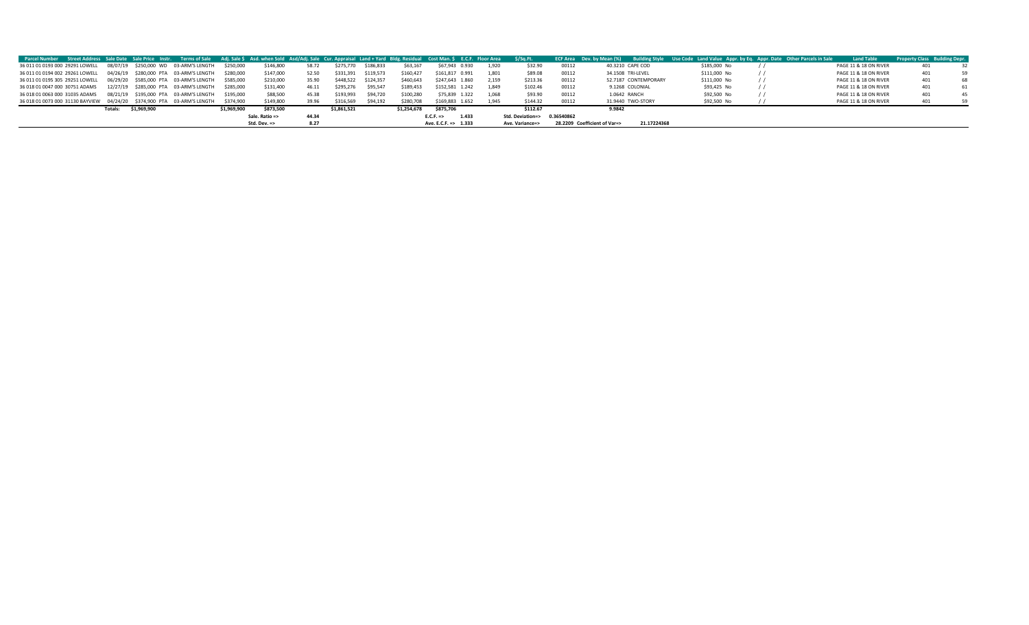| Parcel Number Street Address Sale Date Sale Price Instr. Terms of Sale Adj. Sale \$ Asd. when Sold Asd/Adj. Sale Cur. Appraisal Land + Yard Bldg. Residual Cost Man. \$ E.C.F. Floor Area |         |             |                                                  |             |                         |       |             |           |             |                      |       | S/Sq.Ft.                    |       | ECF Area Dev. by Mean (%) Building Style Use Code Land Value Appr. by Eq. Appr. Date Other Parcels in Sale |              | <b>Land Table</b>     | Property Class Building Depr |    |
|-------------------------------------------------------------------------------------------------------------------------------------------------------------------------------------------|---------|-------------|--------------------------------------------------|-------------|-------------------------|-------|-------------|-----------|-------------|----------------------|-------|-----------------------------|-------|------------------------------------------------------------------------------------------------------------|--------------|-----------------------|------------------------------|----|
| 36 011 01 0193 000 29291 LOWELL  08/07/19  \$250,000 WD  03-ARM'S LENGTH                                                                                                                  |         |             |                                                  | \$250,000   | \$146,800               | 58.72 | \$275,770   | \$186,833 | \$63,167    | \$67,943 0.930       | 1.920 | \$32.90                     | 00112 | 40.3210 CAPE COD                                                                                           | \$185,000 No | PAGE 11 & 18 ON RIVER | 401                          |    |
| 36 011 01 0194 002 29261 LOWELL 04/26/19 \$280,000 PTA 03-ARM'S LENGTH \$280,000                                                                                                          |         |             |                                                  |             | \$147,000               | 52.50 | \$331.391   | \$119,573 | \$160.427   | \$161,817 0.991      | 1.801 | \$89.08                     | 00112 | 34.1508 TRI-LEVEL                                                                                          | \$111,000 No | PAGE 11 & 18 ON RIVER | 401                          | 59 |
| 36 011 01 0195 305 29251 LOWELL  06/29/20  \$585,000 PTA  03-ARM'S LENGTH  \$585,000                                                                                                      |         |             |                                                  |             | \$210,000               | 35.90 | \$448,522   | \$124,357 | \$460,643   | \$247,643 1.860      | 2.159 | \$213.36                    | 00112 | 52.7187 CONTEMPORARY                                                                                       | \$111,000 No | PAGE 11 & 18 ON RIVER | 401                          |    |
| 36 018 01 0047 000 30751 ADAMS                                                                                                                                                            |         |             | 12/27/19 \$285,000 PTA 03-ARM'S LENGTH \$285,000 |             | \$131,400               | 46.11 | \$295.276   | \$95.547  | \$189.453   | \$152,581 1.242      | 1.849 | \$102.46                    | 00112 | 9.1268 COLONIAL                                                                                            | \$93,425 No  | PAGE 11 & 18 ON RIVER | 401                          |    |
| 36 018 01 0063 000 31035 ADAMS                                                                                                                                                            |         |             | 08/21/19 \$195,000 PTA 03-ARM'S LENGTH \$195,000 |             | \$88,500                | 45.38 | \$193,993   | \$94.720  | \$100,280   | \$75,839 1.322       | 1.068 | \$93.90                     | 00112 | 1.0642 RANCH                                                                                               | \$92,500 No  | PAGE 11 & 18 ON RIVER | 401                          | 45 |
| 36 018 01 0073 000 31130 BAYVIEW 04/24/20 \$374,900 PTA 03-ARM'S LENGTH \$374,900                                                                                                         |         |             |                                                  |             | \$149,800               | 39.96 | \$316.569   | \$94.192  | \$280,708   | \$169,883 1.652      | 1.945 | \$144.32                    | 00112 | 31.9440 TWO-STORY                                                                                          | \$92,500 No  | PAGE 11 & 18 ON RIVER | 401                          | 59 |
|                                                                                                                                                                                           | Totals: | \$1,969,900 |                                                  | \$1.969.900 | \$873,500               |       | \$1.861.521 |           | \$1,254,678 | \$875,706            |       | \$112.67                    |       | 9.9842                                                                                                     |              |                       |                              |    |
|                                                                                                                                                                                           |         |             |                                                  |             | Sale. Ratio =>          | 44.34 |             |           |             | E.C.F.<br>1.433      |       | Std. Deviation=> 0.36540862 |       |                                                                                                            |              |                       |                              |    |
|                                                                                                                                                                                           |         |             |                                                  |             | Std. Dev. $\Rightarrow$ | 8.27  |             |           |             | Ave. E.C.F. => 1.333 |       | Ave. Variance=>             |       | 21.17224368<br>28.2209 Coefficient of Var=>                                                                |              |                       |                              |    |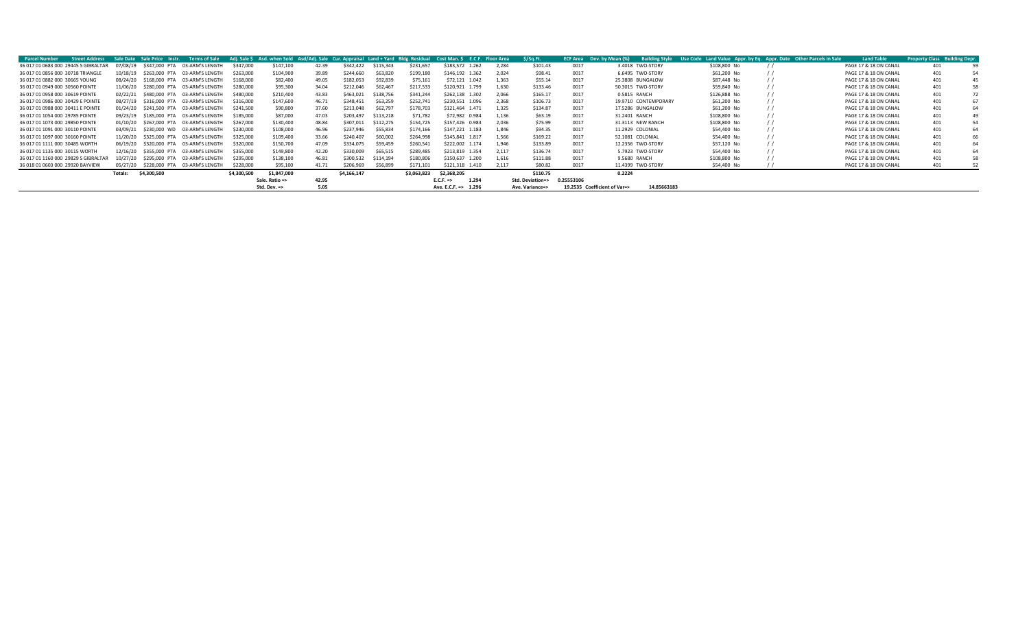| <b>Street Address</b><br><b>Parcel Number</b> | Sale Date | Sale Price Instr. | <b>Terms of Sale</b>          |             | Adj. Sale \$ Asd. when Sold Asd/Adj. Sale Cur. Appraisal Land + Yard Bldg. Residual |       |             |           |             | Cost Man. \$                  | E.C.F. Floor Area | \$/Sq.Ft.        |            | <b>ECF Area</b> Dev. by Mean (%) | <b>Building Style</b> | Use Code Land Value Appr. by Eq. Appr. Date Other Parcels in Sale | <b>Land Table</b>     | <b>Property Class Building Depr.</b> |    |
|-----------------------------------------------|-----------|-------------------|-------------------------------|-------------|-------------------------------------------------------------------------------------|-------|-------------|-----------|-------------|-------------------------------|-------------------|------------------|------------|----------------------------------|-----------------------|-------------------------------------------------------------------|-----------------------|--------------------------------------|----|
| 36 017 01 0683 000 29445 S GIBRALTAR          | 07/08/19  | \$347,000 PTA     | 03-ARM'S LENGTH               | \$347,000   | \$147,100                                                                           | 42.39 | \$342.422   | \$115,343 | \$231,657   | \$183,572 1.262               | 2.284             | \$101.43         | 0017       |                                  | 3.4018 TWO-STORY      | \$108,800 No                                                      | PAGE 17 & 18 ON CANAL | 401                                  |    |
| 36 017 01 0856 000 30718 TRIANGLE             | 10/18/19  | \$263,000 PTA     | 03-ARM'S LENGTH               | \$263,000   | \$104,900                                                                           | 39.89 | \$244,660   | \$63,820  | \$199,180   | \$146,192 1.362               | 2.024             | \$98.41          | 0017       |                                  | 6.6495 TWO-STORY      | \$61,200 No                                                       | PAGE 17 & 18 ON CANAL | 401                                  |    |
| 36 017 01 0882 000 30665 YOUNG                | 08/24/20  | S168,000 PTA      | 03-ARM'S LENGTH               | \$168,000   | \$82,400                                                                            | 49.05 | \$182,053   | \$92,839  | \$75,161    | \$72,121 1.042                | 1,363             | \$55.14          | 0017       |                                  | 25.3808 BUNGALOW      | \$87,448 No                                                       | PAGE 17 & 18 ON CANAL | 401                                  | 45 |
| 36 017 01 0949 000 30560 POINTE               | 11/06/20  | \$280,000 PTA     | 03-ARM'S LENGTH               | \$280,000   | \$95,300                                                                            | 34.04 | \$212,046   | \$62,467  | \$217,533   | \$120,921 1.799               | 1.630             | \$133.46         | 0017       |                                  | 50.3015 TWO-STORY     | \$59,840 No                                                       | PAGE 17 & 18 ON CANAL | 401                                  |    |
| 36 017 01 0958 000 30619 POINTE               | 02/22/21  | \$480,000 PTA     | 03-ARM'S LENGTH               | \$480,000   | \$210,400                                                                           | 43.83 | \$463,021   | \$138,756 | \$341,244   | \$262,138 1.302               | 2.066             | \$165.17         | 0017       |                                  | 0.5815 RANCH          | \$126,888 No                                                      | PAGE 17 & 18 ON CANAL | 401                                  |    |
| 36 017 01 0986 000 30429 E POINTE             | 08/27/19  |                   | \$316,000 PTA 03-ARM'S LENGTH | \$316,000   | \$147,600                                                                           | 46.71 | \$348,451   | \$63,259  | \$252,741   | \$230,551 1.096               | 2.368             | \$106.73         | 0017       |                                  | 19.9710 CONTEMPORARY  | \$61,200 No                                                       | PAGE 17 & 18 ON CANAL | 401                                  | 67 |
| 36 017 01 0988 000 30411 E POINTE             | 01/24/20  |                   | \$241.500 PTA 03-ARM'S LENGTH | \$241,500   | \$90,800                                                                            | 37.60 | \$213,048   | \$62,797  | \$178,703   | \$121,464 1.471               | 1.325             | \$134.87         | 0017       |                                  | 17.5286 BUNGALOW      | \$61,200 No                                                       | PAGE 17 & 18 ON CANAL | 401                                  | 64 |
| 36 017 01 1054 000 29785 POINTE               | 09/23/19  | \$185,000 PTA     | 03-ARM'S LENGTH               | \$185,000   | \$87,000                                                                            | 47.03 | \$203,497   | \$113,218 | \$71,782    | \$72,982 0.984                | 1.136             | \$63.19          | 0017       | 31.2401 RANCH                    |                       | \$108,800 No                                                      | PAGE 17 & 18 ON CANAL | 401                                  |    |
| 36 017 01 1073 000 29850 POINTE               | 01/10/20  | \$267,000 PTA     | 03-ARM'S LENGTH               | \$267.000   | \$130,400                                                                           | 48.84 | \$307.011   | \$112,275 | \$154.725   | \$157,426 0.983               | 2.036             | \$75.99          | 0017       |                                  | 31.3113 NEW RANCH     | \$108,800 No                                                      | PAGE 17 & 18 ON CANAL | 401                                  |    |
| 36 017 01 1091 000 30110 POINTE               | 03/09/21  | \$230,000 WD      | 03-ARM'S LENGTH               | \$230,000   | \$108,000                                                                           | 46.96 | \$237.946   | \$55,834  | \$174.166   | \$147.221 1.183               | 1.846             | \$94.35          | 0017       |                                  | 11.2929 COLONIAL      | \$54,400 No                                                       | PAGE 17 & 18 ON CANAL | 401                                  | 64 |
| 36 017 01 1097 000 30160 POINTE               | 11/20/20  | \$325,000 PTA     | 03-ARM'S LENGTH               | \$325,000   | \$109,400                                                                           | 33.66 | \$240.407   | \$60,002  | \$264.998   | \$145.841 1.817               | 1.566             | \$169.22         | 0017       |                                  | 52.1081 COLONIAL      | \$54,400 No                                                       | PAGE 17 & 18 ON CANAL | 401                                  | 66 |
| 36 017 01 1111 000 30485 WORTH                | 06/19/20  | \$320,000 PTA     | 03-ARM'S LENGTH               | \$320,000   | \$150,700                                                                           | 47.09 | \$334,075   | \$59,459  | \$260,541   | \$222,002 1.174               | 1.946             | \$133.89         | 0017       |                                  | 12.2356 TWO-STORY     | \$57,120 No                                                       | PAGE 17 & 18 ON CANAL | 401                                  |    |
| 36 017 01 1135 000 30115 WORTH                | 12/16/20  | \$355,000 PTA     | 03-ARM'S LENGTH               | \$355,000   | \$149,800                                                                           | 42.20 | \$330,009   | \$65,515  | \$289.485   | \$213,819 1.354               | 2.117             | \$136.74         | 0017       |                                  | 5.7923 TWO-STORY      | \$54,400 No                                                       | PAGE 17 & 18 ON CANAL | 401                                  |    |
| 36 017 01 1160 000 29829 S GIBRALTAR          | 10/27/20  | \$295,000 PTA     | 03-ARM'S LENGTH               | \$295,000   | \$138,100                                                                           | 46.81 | \$300.532   | \$114.194 | \$180.806   | \$150.637 1.200               | 1.616             | \$111.88         | 0017       |                                  | 9.5680 RANCH          | \$108,800 No                                                      | PAGE 17 & 18 ON CANAL | 401                                  |    |
| 36 018 01 0603 000 29920 BAYVIEW              | 05/27/20  | \$228,000 PTA     | 03-ARM'S LENGTH               | \$228,000   | \$95.100                                                                            | 41.71 | \$206,969   | \$56,899  | \$171.101   | \$121.318 1.410               | 2.117             | \$80.82          | 0017       |                                  | 11.4399 TWO-STORY     | \$54,400 No                                                       | PAGE 17 & 18 ON CANAL | 401                                  |    |
|                                               | Totals:   | \$4,300,500       |                               | \$4,300,500 | \$1,847,000                                                                         |       | \$4,166,147 |           | \$3,063,823 | \$2,368,205                   |                   | \$110.75         |            | 0.2224                           |                       |                                                                   |                       |                                      |    |
|                                               |           |                   |                               |             | Sale. Ratio =>                                                                      | 42.95 |             |           |             | 1.294<br>$E.C.F. \Rightarrow$ |                   | Std. Deviation=> | 0.25553106 |                                  |                       |                                                                   |                       |                                      |    |
|                                               |           |                   |                               |             | Std. Dev. $\Rightarrow$                                                             | 5.05  |             |           |             | Ave. E.C.F. => 1.296          |                   | Ave. Variance=>  |            | 19.2535 Coefficient of Var=>     | 14.85663183           |                                                                   |                       |                                      |    |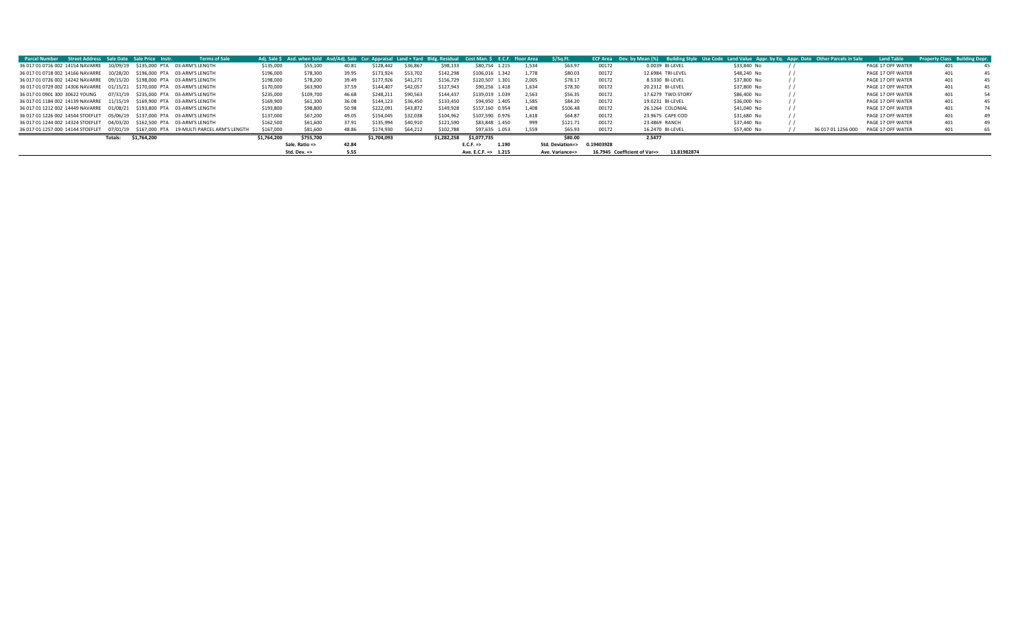| <b>Parcel Number Street Address Sale Date Sale Price Instr.</b>                          |         |             | <b>Terms of Sale</b>                   |             |                         |       |             |          | Adi. Sale S Asd. when Sold Asd/Adi. Sale Cur. Appraisal Land + Yard Bldg. Residual | Cost Man. S E.C.F. Floor Area |       | S/Sa.Ft.         |            | ECF Area Dev. by Mean (%) Building Style Use Code Land Value Appr. by Eq. Appr. Date Other Parcels in Sale |             |                    | <b>Land Table</b> | <b>Property Class Building Depr.</b> |    |
|------------------------------------------------------------------------------------------|---------|-------------|----------------------------------------|-------------|-------------------------|-------|-------------|----------|------------------------------------------------------------------------------------|-------------------------------|-------|------------------|------------|------------------------------------------------------------------------------------------------------------|-------------|--------------------|-------------------|--------------------------------------|----|
| 36 017 01 0716 002 14154 NAVARRE  10/09/19  \$135,000 PTA  03-ARM'S LENGTH               |         |             |                                        | \$135,000   | \$55,100                | 40.81 | \$128.442   | \$36,867 | \$98,133                                                                           | \$80,754 1.215                | 1.534 | \$63.97          | 00172      | 0.0039 BI-LEVEL                                                                                            | \$33,840 No |                    | PAGE 17 OFF WATER | 401                                  |    |
| 36 017 01 0718 002 14166 NAVARRE  10/28/20  \$196,000 PTA  03-ARM'S LENGTH               |         |             |                                        | \$196,000   | \$78,300                | 39.95 | \$173.924   | \$53,702 | \$142,298                                                                          | \$106,016 1.342               | 1.778 | \$80.03          | 00172      | 12.6984 TRI-LEVEL                                                                                          | \$48,240 No |                    | PAGE 17 OFF WATER | 401                                  | 45 |
| 36 017 01 0726 002 14242 NAVARRE  09/15/20  \$198,000 PTA  03-ARM'S LENGTH               |         |             |                                        | \$198,000   | \$78,200                | 39.49 | \$177,926   | \$41,271 | \$156,729                                                                          | \$120,507 1.301               | 2,005 | \$78.17          | 00172      | 8.5330 BI-LEVEL                                                                                            | \$37,800 No |                    | PAGE 17 OFF WATER | 401                                  | 45 |
| 36 017 01 0729 002 14306 NAVARRE  01/15/21  \$170,000 PTA  03-ARM'S LENGTH               |         |             |                                        | \$170,000   | \$63,900                | 37.59 | \$144.407   | \$42,057 | \$127,943                                                                          | \$90,256 1.418                | 1.634 | \$78.30          | 00172      | 20.2312 BI-LEVEL                                                                                           | \$37,800 No |                    | PAGE 17 OFF WATER | 401                                  | 45 |
| 36 017 01 0901 300 30622 YOUNG                                                           |         |             | 07/31/19 \$235,000 PTA 03-ARM'S LENGTH | \$235,000   | \$109,700               | 46.68 | \$248.211   | \$90,563 | \$144.437                                                                          | \$139,019 1.039               | 2.563 | \$56.35          | 00172      | 17.6279 TWO-STORY                                                                                          | \$86,400 No |                    | PAGE 17 OFF WATER | 401                                  | 54 |
| 36 017 01 1184 002 14139 NAVARRE  11/15/19  S169.900 PTA  03-ARM'S LENGTH                |         |             |                                        | \$169,900   | \$61,300                | 36.08 | \$144.123   | \$36,450 | \$133,450                                                                          | \$94.950 1.405                | 1.585 | \$84.20          | 00172      | 19.0231 BI-LEVEL                                                                                           | \$36,000 No |                    | PAGE 17 OFF WATER | 401                                  | 45 |
| 36 017 01 1212 002 14449 NAVARRE  01/08/21  \$193.800 PTA  03-ARM'S LENGTH               |         |             |                                        | \$193,800   | \$98,800                | 50.98 | \$222.091   | \$43,872 | \$149,928                                                                          | \$157,160 0.954               | 1.408 | \$106.48         | 00172      | 26.1264 COLONIAL                                                                                           | \$41,040 No |                    | PAGE 17 OFF WATER | 401                                  | 74 |
| 36 017 01 1226 002 14544 STOEFLET  05/06/19  \$137,000 PTA  03-ARM'S LENGTH              |         |             |                                        | \$137,000   | \$67,200                | 49.05 | \$154.045   | \$32,038 | \$104.962                                                                          | \$107,590 0.976               | 1.618 | \$64.87          | 00172      | 23.9675 CAPE COD                                                                                           | \$31,680 No |                    | PAGE 17 OFF WATER | 401                                  | 49 |
| 36 017 01 1244 002 14324 STOEFLET  04/03/20    \$162.500 PTA    03-ARM'S LENGTH          |         |             |                                        | \$162,500   | \$61,600                | 37.91 | \$135.994   | \$40,910 | \$121,590                                                                          | \$83,848 1.450                | 999   | \$121.71         | 00172      | 23.4869 RANCH                                                                                              | \$37,440 No |                    | PAGE 17 OFF WATER | 401                                  | 49 |
| 36 017 01 1257 000 14144 STOEFLET  07/01/19  \$167,000 PTA  19-MULTI PARCEL ARM'S LENGTH |         |             |                                        | \$167,000   | \$81,600                | 48.86 | \$174,930   | \$64.212 | \$102,788                                                                          | \$97,635 1.053                | 1.559 | \$65.93          | 00172      | 16.2470 BI-LEVEL                                                                                           | \$57,400 No | 36 017 01 1256 000 | PAGE 17 OFF WATER | 401                                  | 65 |
|                                                                                          | Totals: | \$1,764,200 |                                        | \$1,764,200 | \$755,700               |       | \$1,704,093 |          | \$1.282.258                                                                        | \$1,077,735                   |       | \$80.00          |            | 2.5477                                                                                                     |             |                    |                   |                                      |    |
|                                                                                          |         |             |                                        |             | Sale. Ratio =>          | 42.84 |             |          |                                                                                    | 1.190<br>$E.C.F. =>$          |       | Std. Deviation=> | 0.19403928 |                                                                                                            |             |                    |                   |                                      |    |
|                                                                                          |         |             |                                        |             | Std. Dev. $\Rightarrow$ | 5.55  |             |          |                                                                                    | Ave. E.C.F. => 1.215          |       | Ave. Variance=>  |            | 16.7945 Coefficient of Var=><br>13.81982874                                                                |             |                    |                   |                                      |    |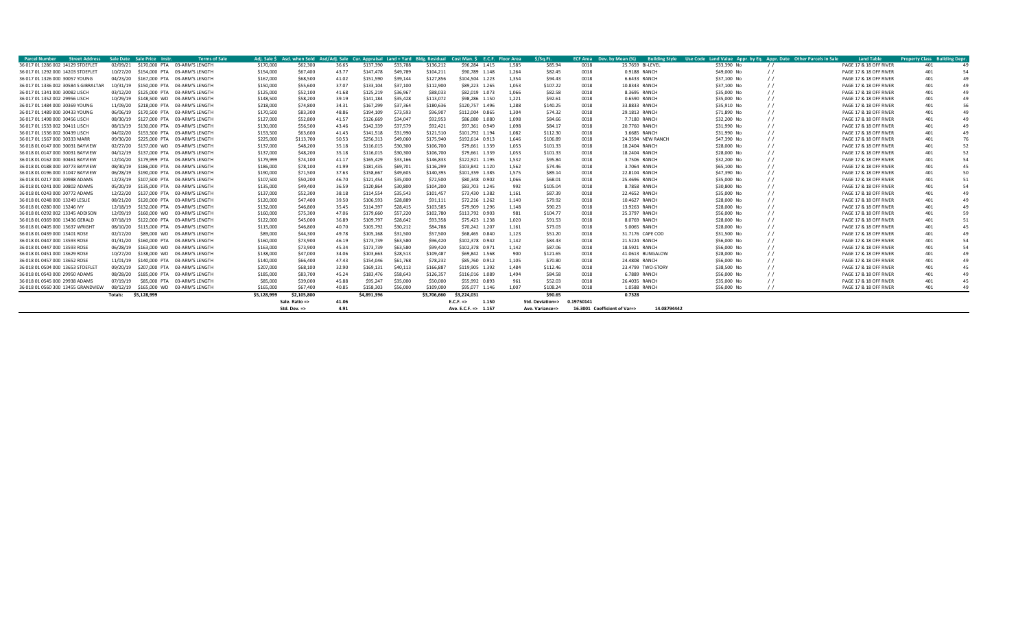| Parcel Number                        | <b>Street Address</b> |          | Sale Date Sale Price Instr | <b>Terms of Sale</b>          |             |                         |       |             |          |             | Adi. Sale \$ Asd. when Sold Asd/Adi. Sale Cur. Appraisal Land + Yard Bldg. Residual Cost Man. \$ E.C.F. Floor Area |       | \$/Sq.Ft         |            | <b>ECF Area</b> Dev. by Mean (%) | Building Style Use Code Land Value Appr. by Eq. Appr. Date Other Parcels in Sale |            | <b>Land Table</b>      | <b>Property Class E</b> | uilding Depr   |
|--------------------------------------|-----------------------|----------|----------------------------|-------------------------------|-------------|-------------------------|-------|-------------|----------|-------------|--------------------------------------------------------------------------------------------------------------------|-------|------------------|------------|----------------------------------|----------------------------------------------------------------------------------|------------|------------------------|-------------------------|----------------|
| 36 017 01 1286 002 14129 STOEFLET    |                       | 02/09/21 |                            | \$170,000 PTA 03-ARM'S LENGTH | \$170,000   | \$62,300                | 36.65 | \$137,390   | \$33,788 | \$136,212   | \$96,284 1.415                                                                                                     | 1,585 | \$85.94          | 0018       | 25.7659 BI-LEVEL                 | \$33,390 No                                                                      | $\prime$   | PAGE 17 & 18 OFF RIVER | 401                     |                |
| 36 017 01 1292 000 14203 STOEFLET    |                       | 10/27/20 |                            | \$154,000 PTA 03-ARM'S LENGTH | \$154,000   | \$67,400                | 43.77 | \$147,478   | \$49,789 | \$104.211   | \$90,789 1.148                                                                                                     | 1.264 | \$82.45          | 0018       | 0.9188 RANCH                     | \$49,000 No                                                                      |            | PAGE 17 & 18 OFF RIVER | 401                     |                |
| 36 017 01 1326 000 30057 YOUNG       |                       | 04/23/20 |                            | \$167,000 PTA 03-ARM'S LENGTH | \$167,000   | \$68,500                | 41.02 | \$151,590   | \$39,144 | \$127,856   | \$104.504 1.223                                                                                                    | 1.354 | \$94.43          | 0018       | 6.6433 RANCH                     | \$37,100 No                                                                      |            | PAGE 17 & 18 OFF RIVER |                         |                |
| 36 017 01 1336 002 30584 S GIBRALTAR |                       | 10/31/19 |                            | \$150,000 PTA 03-ARM'S LENGTH | \$150,000   | \$55,600                | 37.07 | \$133,104   | \$37,100 | \$112,900   | \$89,223 1.265                                                                                                     | 1,053 | \$107.22         | 0018       | 10.8343 RANCH                    | \$37,100 No                                                                      |            | PAGE 17 & 18 OFF RIVER | 401                     | 49             |
| 36 017 01 1341 000 30082 LISCH       |                       | 03/12/20 |                            | \$125,000 PTA 03-ARM'S LENGTH | \$125,000   | \$52,100                | 41.68 | \$125,219   | \$36,967 | \$88,033    | \$82.019 1.073                                                                                                     | 1.066 | \$82.58          | 0018       | 8.3695 RANCH                     | \$35,000 No                                                                      |            | PAGE 17 & 18 OFF RIVER | 401                     | 49             |
| 36 017 01 1352 002 29956 LISCH       |                       | 10/29/19 |                            | \$148,500 WD 03-ARM'S LENGTH  | \$148,500   | \$58,200                | 39.19 | \$141,184   | \$35,428 | \$113,072   | \$98,286 1.150                                                                                                     | 1,221 | \$92.61          | 0018       | 0.6590 RANCH                     | \$35,000 No                                                                      |            | PAGE 17 & 18 OFF RIVER | 401                     | $\Delta$       |
| 36 017 01 1484 000 30369 YOUNG       |                       | 11/09/20 |                            | \$218,000 PTA 03-ARM'S LENGTH | \$218,000   | \$74,800                | 34.31 | \$167.299   | \$37,364 | \$180,636   | \$120,757 1.496                                                                                                    | 1,288 | \$140.25         | 0018       | 33.8833 RANCH                    | \$35,910 No                                                                      |            | PAGE 17 & 18 OFF RIVER | 401                     | 56             |
| 36 017 01 1489 000 30433 YOUNG       |                       | 06/06/19 |                            | \$170,500 PTA 03-ARM'S LENGTH | \$170,500   | \$83,300                | 48.86 | \$194.109   | \$73,593 | \$96,907    | \$112,004 0.865                                                                                                    | 1.304 | \$74.32          | 0018       | 29.1813 RANCH                    | \$71,890 No                                                                      |            | PAGE 17 & 18 OFF RIVER | 401                     | $\Delta$       |
| 36 017 01 1498 000 30456 LISCH       |                       | 08/30/19 |                            | \$127,000 PTA 03-ARM'S LENGTH | \$127,000   | \$52,800                | 41.57 | \$126.669   | \$34.047 | \$92,953    | \$86,080 1,080                                                                                                     | 1.098 | \$84.66          | 0018       | 7.7180 RANCH                     | \$32,200 No                                                                      |            | PAGE 17 & 18 OFF RIVER |                         | 49             |
| 36 017 01 1533 002 30411 LISCH       |                       | 08/13/19 |                            | \$130,000 PTA 03-ARM'S LENGTH | \$130,000   | \$56,500                | 43.46 | \$142.339   | \$37.579 | \$92,421    | \$97,361 0.949                                                                                                     | 1.098 | \$84.17          | 0018       | 20.7760 RANCH                    | \$31,990 No                                                                      |            | PAGE 17 & 18 OFF RIVER |                         | $\Delta$       |
| 36 017 01 1536 002 30439 LISCH       |                       | 04/02/20 |                            | \$153,500 PTA 03-ARM'S LENGTH | \$153,500   | \$63,600                | 41.43 | \$141.518   | \$31,990 | \$121,510   | \$101,792 1.194                                                                                                    | 1,082 | \$112.30         | 0018       | 3.6685 RANCH                     | \$31,990 No                                                                      |            | PAGE 17 & 18 OFF RIVER |                         | $\Delta$       |
| 36 017 01 1567 000 30333 MARR        |                       | 09/30/20 |                            | \$225,000 PTA 03-ARM'S LENGTH | \$225,000   | \$113,700               | 50.53 | \$256.313   | \$49,060 | \$175,940   | \$192,614 0.913                                                                                                    | 1,646 | \$106.89         | 0018       | 24.3594 NEW RANCH                | \$47,390 No                                                                      |            | PAGE 17 & 18 OFF RIVER |                         |                |
| 36 018 01 0147 000 30031 BAYVIEW     |                       | 02/27/20 |                            | \$137,000 WD 03-ARM'S LENGTH  | \$137,000   | \$48,200                | 35.18 | \$116.015   | \$30,300 | \$106,700   | \$79,661 1.339                                                                                                     | 1,053 | \$101.33         | 0018       | 18,2404 RANCH                    | \$28,000 No                                                                      |            | PAGE 17 & 18 OFF RIVER |                         | 52             |
| 36 018 01 0147 000 30031 BAYVIEW     |                       | 04/12/19 |                            | \$137,000 PTA 03-ARM'S LENGTH | \$137,000   | \$48,200                | 35.18 | \$116,015   | \$30,300 | \$106,700   | \$79,661 1.339                                                                                                     | 1,053 | \$101.33         | 0018       | 18.2404 RANCH                    | \$28.000 No                                                                      |            | PAGE 17 & 18 OFF RIVER |                         | 52             |
| 36 018 01 0162 000 30461 BAYVIEW     |                       | 12/04/20 |                            | \$179,999 PTA 03-ARM'S LENGTH | \$179,999   | \$74,100                | 41.17 | \$165.429   | \$33,166 | \$146.833   | \$122,921 1.195                                                                                                    | 1,532 | \$95.84          | 0018       | 3.7506 RANCH                     | \$32,200 No                                                                      |            | PAGE 17 & 18 OFF RIVER |                         | 54             |
| 36 018 01 0188 000 30773 BAYVIEW     |                       | 08/30/19 |                            | \$186,000 PTA 03-ARM'S LENGTH | \$186,000   | \$78,100                | 41.99 | \$181.435   | \$69,701 | \$116,299   | \$103.842 1.120                                                                                                    | 1.562 | \$74.46          | 0018       | 3.7064 RANCH                     | \$65,100 No                                                                      |            | PAGE 17 & 18 OFF RIVER | 401                     | 45             |
| 36 018 01 0196 000 31047 BAYVIEW     |                       | 06/28/19 |                            | \$190,000 PTA 03-ARM'S LENGTH | \$190,000   | \$71,500                | 37.63 | \$158.667   | \$49,605 | \$140,395   | \$101,359 1.385                                                                                                    | 1.575 | \$89.14          | 0018       | 22.8104 RANCH                    | \$47.390 No                                                                      |            | PAGE 17 & 18 OFF RIVER | 401                     | 50             |
| 36 018 01 0217 000 30988 ADAMS       |                       | 12/23/19 |                            | \$107,500 PTA 03-ARM'S LENGTH | \$107,500   | \$50,200                | 46.70 | \$121.454   | \$35,000 | \$72,500    | \$80,348 0.902                                                                                                     | 1.066 | \$68.01          | 0018       | 25.4696 RANCH                    | \$35,000 No                                                                      |            | PAGE 17 & 18 OFF RIVER | 40 <sup>4</sup>         | 51             |
| 36 018 01 0241 000 30802 ADAMS       |                       | 05/20/19 |                            | \$135,000 PTA 03-ARM'S LENGTH | \$135,000   | \$49,400                | 36.59 | \$120.864   | \$30,800 | \$104,200   | \$83,703 1.245                                                                                                     | 992   | \$105.04         | 0018       | 8.7858 RANCH                     | \$30,800 No                                                                      |            | PAGE 17 & 18 OFF RIVER |                         | 54             |
| 36 018 01 0243 000 30772 ADAMS       |                       | 12/22/20 |                            | \$137,000 PTA 03-ARM'S LENGTH | \$137,000   | \$52,300                | 38.18 | \$114.554   | \$35,543 | \$101,457   | \$73,430 1.382                                                                                                     | 1.161 | \$87.39          | 0018       | 22.4652 RANCH                    | \$35,000 No                                                                      |            | PAGE 17 & 18 OFF RIVER |                         |                |
| 36 018 01 0248 000 13249 LESLIE      |                       | 08/21/20 |                            | \$120,000 PTA 03-ARM'S LENGTH | \$120,000   | \$47,400                | 39.50 | \$106,593   | \$28,889 | \$91,111    | \$72,216 1.262                                                                                                     | 1.140 | \$79.92          | 0018       | 10.4627 RANCH                    | \$28,000 No                                                                      |            | PAGE 17 & 18 OFF RIVER |                         |                |
| 36 018 01 0280 000 13246 IVY         |                       | 12/18/19 |                            | \$132,000 PTA 03-ARM'S LENGTH | \$132,000   | \$46,800                | 35.45 | \$114,397   | \$28,415 | \$103,585   | \$79,909 1.296                                                                                                     | 1.148 | \$90.23          | 0018       | 13.9263 RANCH                    | \$28,000 No                                                                      |            | PAGE 17 & 18 OFF RIVER |                         |                |
| 36 018 01 0292 002 13345 ADDISON     |                       | 12/09/19 |                            | \$160,000 WD 03-ARM'S LENGTH  | \$160,000   | \$75,300                | 47.06 | \$179,660   | \$57,220 | \$102,780   | \$113,792 0.903                                                                                                    | 981   | \$104.77         | 0018       | 25.3797 RANCH                    | \$56,000 No                                                                      |            | PAGE 17 & 18 OFF RIVER |                         |                |
| 36 018 01 0369 000 13436 GERALD      |                       | 07/18/19 |                            | \$122,000 PTA 03-ARM'S LENGTH | \$122,000   | \$45,000                | 36.89 | \$109,797   | \$28,642 | \$93,358    | \$75,423 1.238                                                                                                     | 1,020 | \$91.53          | 0018       | 8.0769 RANCH                     | \$28,000 No                                                                      |            | PAGE 17 & 18 OFF RIVER |                         |                |
| 36 018 01 0405 000 13637 WRIGHT      |                       | 08/10/20 |                            | \$115,000 PTA 03-ARM'S LENGTH | \$115,000   | \$46,800                | 40.70 | \$105.792   | \$30,212 | \$84,788    | \$70.242 1.207                                                                                                     | 1.161 | \$73.03          | 0018       | 5.0065 RANCH                     | \$28,000 No                                                                      |            | PAGE 17 & 18 OFF RIVER |                         |                |
| 36 018 01 0439 000 13401 ROSE        |                       | 02/17/20 | \$89,000 WD                | 03-ARM'S LENGTH               | \$89,000    | \$44,300                | 49.78 | \$105,168   | \$31,500 | \$57,500    | \$68,465 0.840                                                                                                     | 1,123 | \$51.20          | 0018       | 31.7176 CAPE COD                 | \$31,500 No                                                                      |            | PAGE 17 & 18 OFF RIVER | 401                     | $\Delta$       |
| 36 018 01 0447 000 13593 ROSE        |                       | 01/31/20 |                            | \$160,000 PTA 03-ARM'S LENGTH | \$160,000   | \$73,900                | 46.19 | \$173,739   | \$63,580 | \$96,420    | \$102,378 0.942                                                                                                    | 1.142 | \$84.43          | 0018       | 21.5224 RANCH                    | \$56,000 No                                                                      |            | PAGE 17 & 18 OFF RIVER |                         | 54             |
| 36 018 01 0447 000 13593 ROSE        |                       | 06/28/19 |                            | \$163,000 WD 03-ARM'S LENGTH  | \$163,000   | \$73,900                | 45.34 | \$173,739   | \$63,580 | \$99,420    | \$102.378 0.971                                                                                                    | 1.142 | \$87.06          | 0018       | 18,5921 RANCH                    | \$56.000 No                                                                      |            | PAGE 17 & 18 OFF RIVER |                         | 54             |
| 36 018 01 0451 000 13629 ROSE        |                       | 10/27/20 |                            | \$138,000 WD 03-ARM'S LENGTH  | \$138,000   | \$47,000                | 34.06 | \$103,663   | \$28,513 | \$109,487   | \$69,842 1.568                                                                                                     | 900   | \$121.65         | 0018       | 41.0613 BUNGALOW                 | \$28.000 No                                                                      |            | PAGE 17 & 18 OFF RIVER | 401                     | $\Delta$       |
| 36 018 01 0457 000 13652 ROSE        |                       | 11/01/19 |                            | \$140,000 PTA 03-ARM'S LENGTH | \$140,000   | \$66,400                | 47.43 | \$154,046   | \$61,768 | \$78.232    | \$85,760 0.912                                                                                                     | 1,105 | \$70.80          | 0018       | 24.4808 RANCH                    | \$56,000 No                                                                      |            | PAGE 17 & 18 OFF RIVER | 401                     | $\Delta$       |
| 36 018 01 0504 000 13653 STOEFLET    |                       | 09/20/19 |                            | \$207,000 PTA 03-ARM'S LENGTH | \$207,000   | \$68,100                | 32.90 | \$169.131   | \$40,113 | \$166,887   | \$119.905 1.392                                                                                                    | 1.484 | \$112.46         | 0018       | 23.4799 TWO-STORY                | \$38,500 No                                                                      |            | PAGE 17 & 18 OFF RIVER | 401                     | $\mathbf{A}^t$ |
| 36 018 01 0543 000 29950 ADAMS       |                       | 08/28/20 |                            | \$185,000 PTA 03-ARM'S LENGTH | \$185,000   | \$83,700                | 45.24 | \$183.476   | \$58,643 | \$126.357   | \$116.016 1.089                                                                                                    | 1.494 | \$84.58          | 0018       | 6.7889 RANCH                     | \$56,000 No                                                                      |            | PAGE 17 & 18 OFF RIVER | 401                     |                |
| 36 018 01 0545 000 29938 ADAMS       |                       | 07/19/19 |                            | \$85,000 PTA 03-ARM'S LENGTH  | \$85,000    | \$39,000                | 45.88 | \$95.247    | \$35,000 | \$50,000    | \$55,992 0.893                                                                                                     | 961   | \$52.03          | 0018       | 26.4035 RANCH                    | \$35,000 No                                                                      |            | PAGE 17 & 18 OFF RIVER | 401                     |                |
| 36 018 01 0560 300 13455 GRANDVIEW   |                       | 08/12/19 |                            | \$165,000 WD 03-ARM'S LENGTH  | \$165,000   | \$67,400                | 40.85 | \$158,303   | \$56,000 | \$109,000   | \$95,077 1.146                                                                                                     | 1.007 | \$108.24         | 0018       | 1.0588 RANCH                     | \$56,000 No                                                                      | $\prime$ / | PAGE 17 & 18 OFF RIVER | 401                     |                |
|                                      |                       | Totals:  | \$5.128.999                |                               | \$5.128.999 | \$2,105,800             |       | \$4.891.396 |          | \$3.706.660 | \$3.224.031                                                                                                        |       | \$90.65          |            | 0.7328                           |                                                                                  |            |                        |                         |                |
|                                      |                       |          |                            |                               |             | Sale. Ratio =>          | 41.06 |             |          |             | 1.150<br>E.C.F.                                                                                                    |       | Std. Deviation=> | 0.19750141 |                                  |                                                                                  |            |                        |                         |                |
|                                      |                       |          |                            |                               |             | Std. Dev. $\Rightarrow$ | 4.91  |             |          |             | Ave. E.C.F. => 1.157                                                                                               |       | Ave. Variance=>  |            | 16.3001 Coefficient of Var=>     | 14.08794442                                                                      |            |                        |                         |                |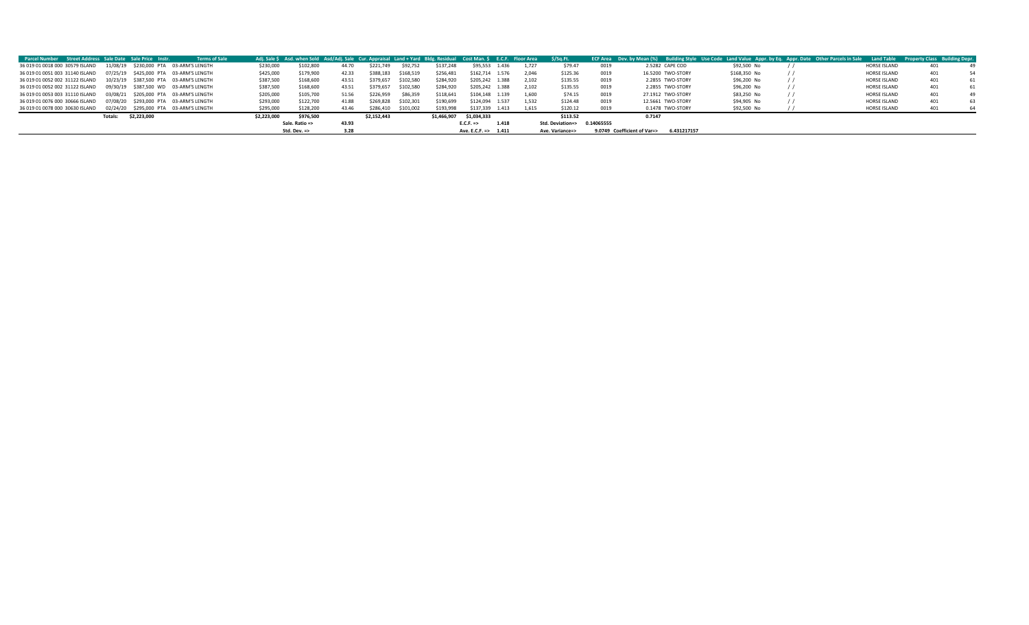| <b>Parcel Number Street Address Sale Date Sale Price Instr.</b>           |                        | <b>Terms of Sale</b>                   |             | Adj. Sale \$ Asd. when Sold Asd/Adj. Sale Cur. Appraisal Land + Yard Bldg. Residual Cost Man. \$ E.C.F. Floor Area \$/Sq.Ft. |       |             |           |             |                      |       |       |                  |            |                             |                   | ECF Area Dev. by Mean (%) Building Style Use Code Land Value Appr. by Eq. Appr. Date Other Parcels in Sale Land Table Property Class Building Depr. |          |              |     |    |
|---------------------------------------------------------------------------|------------------------|----------------------------------------|-------------|------------------------------------------------------------------------------------------------------------------------------|-------|-------------|-----------|-------------|----------------------|-------|-------|------------------|------------|-----------------------------|-------------------|-----------------------------------------------------------------------------------------------------------------------------------------------------|----------|--------------|-----|----|
| 36 019 01 0018 000 30579 ISLAND                                           |                        | 11/08/19 \$230,000 PTA 03-ARM'S LENGTH | \$230,000   | \$102,800                                                                                                                    | 44.70 | \$221,749   | \$92,752  | \$137,248   | \$95,553             | 1.436 | 1.727 | \$79.47          | 0019       |                             | 2.5282 CAPE COD   | \$92,500 No                                                                                                                                         |          | HORSE ISLAND | 401 |    |
| 36 019 01 0051 003 31140 ISLAND                                           |                        | 07/25/19 \$425,000 PTA 03-ARM'S LENGTH | \$425,000   | \$179,900                                                                                                                    | 42.33 | \$388,183   | \$168,519 | \$256,481   | \$162,714 1.576      |       | 2.046 | \$125.36         | 0019       |                             | 16.5200 TWO-STORY | \$168,350 No                                                                                                                                        |          | HORSE ISLAND |     | 54 |
| 36 019 01 0052 002 31122 ISLAND                                           |                        | 10/23/19 \$387,500 PTA 03-ARM'S LENGTH | \$387,500   | \$168,600                                                                                                                    | 43.51 | \$379,657   | \$102,580 | \$284,920   | \$205,242            | 1.388 | 2.102 | \$135.55         | 0019       |                             | 2.2855 TWO-STORY  | \$96,200 No                                                                                                                                         | $\prime$ | HORSE ISLAND | 401 | 61 |
| 36 019 01 0052 002 31122 ISLAND  09/30/19  \$387.500 WD  03-ARM'S LENGTH  |                        |                                        | \$387,500   | \$168,600                                                                                                                    | 43.51 | \$379,657   | \$102,580 | \$284,920   | \$205.242            | 1.388 | 2.102 | \$135.55         | 0019       |                             | 2.2855 TWO-STORY  | \$96,200 No                                                                                                                                         |          | HORSE ISLAND | 401 | 61 |
| 36 019 01 0053 003 31110 ISLAND  03/08/21  \$205,000 PTA  03-ARM'S LENGTH |                        |                                        | \$205,000   | \$105,700                                                                                                                    | 51.56 | \$226,959   | \$86,359  | \$118,641   | \$104,148 1.139      |       | 1.600 | \$74.15          | 0019       |                             | 27.1912 TWO-STORY | \$83,250 No                                                                                                                                         |          | HORSE ISLAND | 401 |    |
| 36 019 01 0076 000 30666 ISLAND                                           |                        | 07/08/20 \$293,000 PTA 03-ARM'S LENGTH | \$293,000   | \$122,700                                                                                                                    | 41.88 | \$269.828   | \$102,301 | \$190,699   | \$124,094 1.537      |       | 1.532 | \$124.48         | 0019       |                             | 12.5661 TWO-STORY | \$94,905 No                                                                                                                                         |          | HORSE ISLAND | 401 | 63 |
| 36 019 01 0078 000 30630 ISLAND                                           |                        | 02/24/20 \$295.000 PTA 03-ARM'S LENGTH | \$295,000   | \$128,200                                                                                                                    | 43.46 | \$286.410   | \$101.002 | \$193,998   | \$137.339            | 1.413 | 1.615 | \$120.12         | 0019       |                             | 0.1478 TWO-STORY  | \$92,500 No                                                                                                                                         |          | HORSE ISLAND |     |    |
|                                                                           | \$2,223,000<br>Totals: |                                        | \$2,223,000 | \$976,500                                                                                                                    |       | \$2.152.443 |           | \$1,466.907 | \$1,034,333          |       |       | \$113.52         |            | 0.7147                      |                   |                                                                                                                                                     |          |              |     |    |
|                                                                           |                        |                                        |             | Sale. Ratio =>                                                                                                               | 43.93 |             |           |             | $E.C.F. =>$          | 1.418 |       | Std. Deviation=> | 0.14065555 |                             |                   |                                                                                                                                                     |          |              |     |    |
|                                                                           |                        |                                        |             | Std. Dev. $\Rightarrow$                                                                                                      | 3.28  |             |           |             | Ave. E.C.F. => 1.411 |       |       | Ave. Variance=>  |            | 9.0749 Coefficient of Var=> | 6.431217157       |                                                                                                                                                     |          |              |     |    |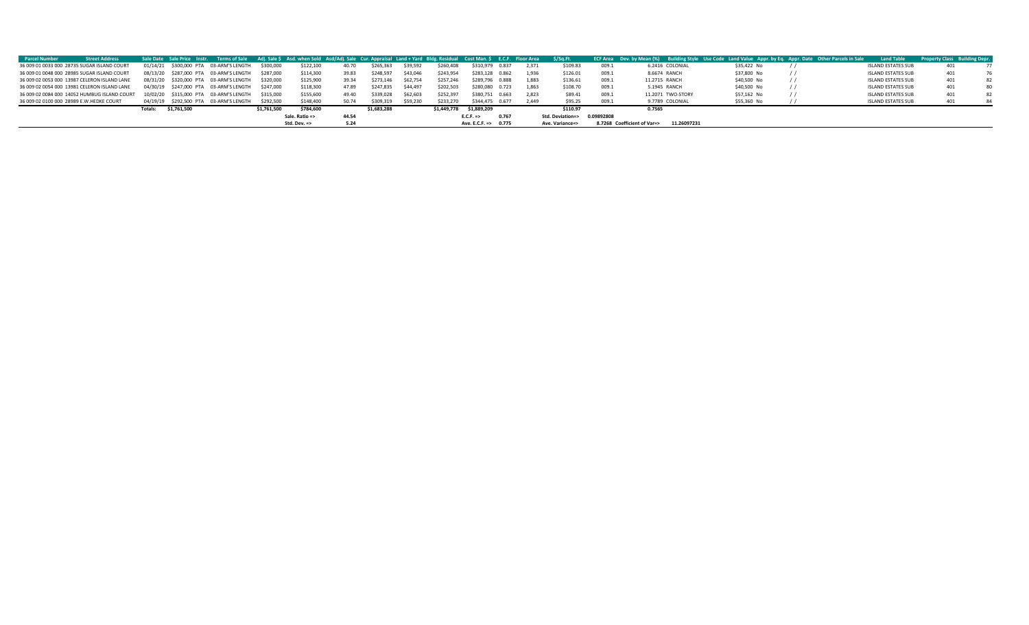| <b>Parcel Number</b>                         | <b>Street Address</b> |         |             | Sale Date Sale Price Instr. Terms of Sale Adj. Sale \$Asd. when Sold Asd/Adj. Sale Cur. Appraisal Land + Yard Bldg. Residual Cost Man. \$E.C.F. Floor Area |             |                |       |             |          |             |                      |       |       | S/Sa.Ft.                    |       | ECF Area Dev. by Mean (%) Building Style Use Code Land Value Appr. by Eq. Appr. Date Other Parcels in Sale |             | <b>Land Table</b>         | <b>Property Class Building Depr.</b> |  |
|----------------------------------------------|-----------------------|---------|-------------|------------------------------------------------------------------------------------------------------------------------------------------------------------|-------------|----------------|-------|-------------|----------|-------------|----------------------|-------|-------|-----------------------------|-------|------------------------------------------------------------------------------------------------------------|-------------|---------------------------|--------------------------------------|--|
| 36 009 01 0033 000 28735 SUGAR ISLAND COURT  |                       |         |             | 01/14/21 \$300,000 PTA 03-ARM'S LENGTH                                                                                                                     | \$300,000   | \$122,100      | 40.70 | \$265,363   | \$39,592 | \$260,408   | \$310,979 0.837      |       | 2.371 | \$109.83                    | 009.1 | 6.2416 COLONIAL                                                                                            | \$35,422 No | <b>ISLAND ESTATES SUB</b> |                                      |  |
| 36 009 01 0048 000 28985 SUGAR ISLAND COURT  |                       |         |             | 08/13/20 \$287.000 PTA 03-ARM'S LENGTH                                                                                                                     | \$287.000   | \$114,300      | 39.83 | \$248,597   | \$43,046 | \$243.954   | \$283,128 0.862      |       | 1.936 | \$126.01                    | 009.1 | 8.6674 RANCH                                                                                               | \$37,800 No | <b>ISLAND ESTATES SUB</b> | 401                                  |  |
| 36 009 02 0053 000 13987 CELERON ISLAND LANE |                       |         |             | 08/31/20 \$320,000 PTA 03-ARM'S LENGTH                                                                                                                     | \$320,000   | \$125,900      | 39.34 | \$273,146   | \$62,754 | \$257.246   | \$289,796 0.888      |       | 1.883 | \$136.61                    | 009.1 | 11.2715 RANCH                                                                                              | \$40,500 No | <b>ISLAND ESTATES SUB</b> | 401                                  |  |
| 36 009 02 0054 000 13981 CELERON ISLAND LANE |                       |         |             | 04/30/19 \$247,000 PTA 03-ARM'S LENGTH                                                                                                                     | \$247.000   | \$118,300      | 47.89 | \$247.835   | \$44,497 | \$202,503   | \$280,080 0.723      |       | 1.863 | \$108.70                    | 009.1 | 5.1945 RANCH                                                                                               | \$40,500 No | <b>ISLAND ESTATES SUB</b> | 401                                  |  |
| 36 009 02 0084 000 14052 HUMBUG ISLAND COURT |                       |         |             | 10/02/20 \$315,000 PTA 03-ARM'S LENGTH                                                                                                                     | \$315,000   | \$155,600      | 49.40 | \$339,028   | \$62,603 | \$252,397   | \$380,751 0.663      |       | 2.823 | \$89.41                     | 009.1 | 11.2071 TWO-STORY                                                                                          | \$57,162 No | <b>ISLAND ESTATES SUB</b> | 401                                  |  |
| 36 009 02 0100 000 28989 E.W.HEDKE COURT     |                       |         |             | 04/19/19 \$292,500 PTA 03-ARM'S LENGTH                                                                                                                     | \$292.500   | \$148,400      | 50.74 | \$309,319   | \$59,230 | \$233,270   | \$344,475 0.677      |       | 2.449 | \$95.25                     | 009.1 | 9.7789 COLONIAL                                                                                            | \$55,360 No | <b>ISLAND ESTATES SUB</b> | 401                                  |  |
|                                              |                       | Totals: | \$1.761.500 |                                                                                                                                                            | \$1.761.500 | \$784,600      |       | \$1.683.288 |          | \$1.449.778 | \$1.889.209          |       |       | \$110.97                    |       | 0.7565                                                                                                     |             |                           |                                      |  |
|                                              |                       |         |             |                                                                                                                                                            |             | Sale. Ratio => | 44.54 |             |          |             | E.C.F.               | 0.767 |       | Std. Deviation=> 0.09892808 |       |                                                                                                            |             |                           |                                      |  |
|                                              |                       |         |             |                                                                                                                                                            |             | Std. Dev. =>   | 5.24  |             |          |             | Ave. E.C.F. => 0.775 |       |       | Ave. Variance=>             |       | 8.7268 Coefficient of Var=><br>11.26097231                                                                 |             |                           |                                      |  |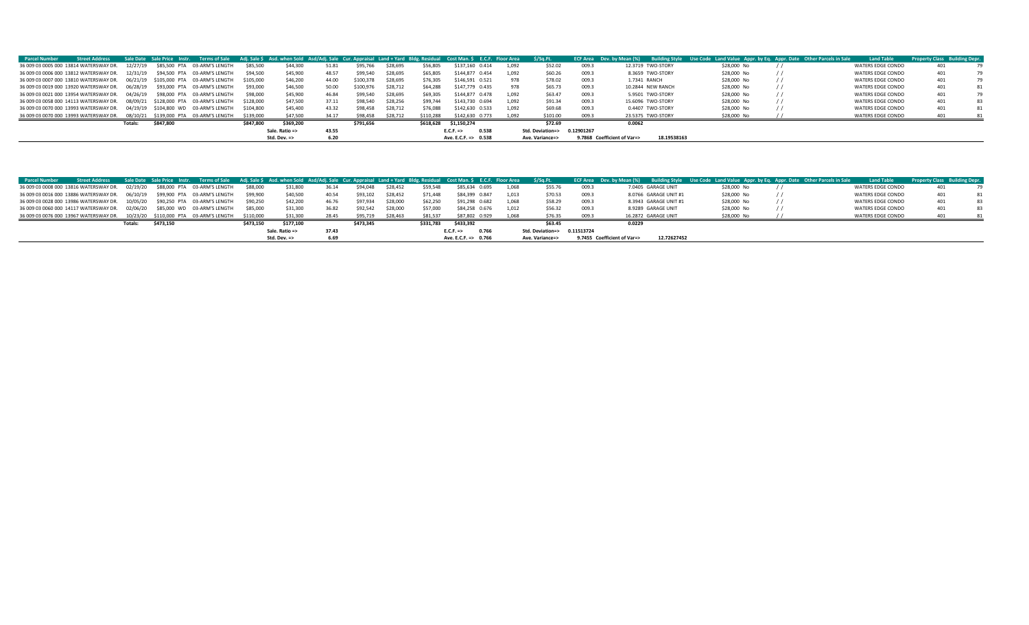| <b>Parcel Number</b>                                                           | <b>Street Address</b> |          |           | Sale Date Sale Price Instr. Terms of Sale Adj. Sale \$Asd. when Sold Asd/Adj. Sale Cur. Appraisal Land + Yard Bldg. Residual Cost Man. \$E.C.F. Floor Area |           |                         |       |           |          |           |                               |       | \$/Sq.Ft.        |            | <b>ECF Area</b> Dev. by Mean (%) Building Style |                   | Use Code Land Value Appr. by Eq. Appr. Date Other Parcels in Sale |  | <b>Land Table</b> | <b>Property Class Building Depr.</b> |    |
|--------------------------------------------------------------------------------|-----------------------|----------|-----------|------------------------------------------------------------------------------------------------------------------------------------------------------------|-----------|-------------------------|-------|-----------|----------|-----------|-------------------------------|-------|------------------|------------|-------------------------------------------------|-------------------|-------------------------------------------------------------------|--|-------------------|--------------------------------------|----|
| 36 009 03 0005 000 13814 WATERSWAY DR.                                         |                       | 12/27/19 |           | \$85,500 PTA 03-ARM'S LENGTH                                                                                                                               | \$85,500  | \$44,300                | 51.81 | \$95.766  | \$28,695 | \$56,805  | \$137,160 0.414               | 1.092 | \$52.02          | 009.3      |                                                 | 12.3719 TWO-STORY | \$28,000 No                                                       |  | WATERS EDGE CONDO | 401                                  |    |
| 36 009 03 0006 000 13812 WATERSWAY DR.                                         |                       | 12/31/19 |           | \$94.500 PTA 03-ARM'S LENGTH                                                                                                                               | \$94.500  | \$45,900                | 48.57 | \$99.540  | \$28,695 | \$65,805  | \$144.877 0.454               | 1.092 | \$60.26          | 009.3      |                                                 | 8.3659 TWO-STORY  | \$28,000 No                                                       |  | WATERS EDGE CONDO | 401                                  | 79 |
| 36 009 03 0007 000 13810 WATERSWAY DR.  06/21/19 \$105,000 PTA 03-ARM'S LENGTH |                       |          |           |                                                                                                                                                            | \$105,000 | \$46,200                | 44.00 | \$100,378 | \$28,695 | \$76,305  | \$146,591<br>0.521            | 978   | \$78.02          | 009.3      | 1.7341 RANCH                                    |                   | \$28,000 No                                                       |  | WATERS EDGE CONDO | 401                                  | 79 |
|                                                                                |                       |          |           | \$93,000 PTA 03-ARM'S LENGTH                                                                                                                               | \$93,000  | \$46,500                | 50.00 | \$100,976 | \$28,712 | \$64,288  | \$147,779 0.435               | 978   | \$65.73          | 009.3      |                                                 | 10.2844 NEW RANCH | \$28,000 No                                                       |  | WATERS EDGE CONDO | 401                                  | 81 |
| 36 009 03 0021 000 13954 WATERSWAY DR. 04/26/19 \$98,000 PTA 03-ARM'S LENGTH   |                       |          |           |                                                                                                                                                            | \$98,000  | \$45,900                | 46.84 | \$99.540  | \$28,695 | \$69,305  | \$144,877 0.478               | 1.092 | \$63.47          | 009.3      |                                                 | 5.9501 TWO-STORY  | \$28,000 No                                                       |  | WATERS EDGE CONDO | 401                                  | 79 |
| 36 009 03 0058 000 14113 WATERSWAY DR.  08/09/21 \$128,000 PTA 03-ARM'S LENGTH |                       |          |           |                                                                                                                                                            | \$128,000 | \$47.500                | 37.11 | \$98.540  | \$28,256 | \$99.744  | \$143,730 0.694               | 1.092 | \$91.34          | 009.3      |                                                 | 15,6096 TWO-STORY | \$28,000 No                                                       |  | WATERS EDGE CONDO | 401                                  | 83 |
| 36 009 03 0070 000 13993 WATERSWAY DR.                                         |                       |          |           | 04/19/19 \$104,800 WD 03-ARM'S LENGTH                                                                                                                      | \$104,800 | \$45,400                | 43.32 | \$98,458  | \$28,712 | \$76,088  | \$142,630 0.533               | 1,092 | \$69.68          | 009.3      |                                                 | 0.4407 TWO-STORY  | \$28,000 No                                                       |  | WATERS EDGE CONDO | 401                                  | 81 |
| 36 009 03 0070 000 13993 WATERSWAY DR.  08/10/21 \$139,000 PTA 03-ARM'S LENGTH |                       |          |           |                                                                                                                                                            | \$139,000 | \$47.500                | 34.17 | \$98,458  | \$28,712 | \$110,288 | \$142,630 0.773               | 1.092 | \$101.00         | 009.3      |                                                 | 23.5375 TWO-STORY | \$28,000 No                                                       |  | WATERS EDGE CONDO | 401                                  | 81 |
|                                                                                |                       | Totals:  | \$847.800 |                                                                                                                                                            | \$847,800 | \$369,200               |       | \$791,656 |          | \$618.628 | \$1,150,274                   |       | \$72.69          |            | 0.0062                                          |                   |                                                                   |  |                   |                                      |    |
|                                                                                |                       |          |           |                                                                                                                                                            |           | Sale. Ratio =>          | 43.55 |           |          |           | $E.C.F. \Rightarrow$<br>0.538 |       | Std. Deviation=> | 0.12901267 |                                                 |                   |                                                                   |  |                   |                                      |    |
|                                                                                |                       |          |           |                                                                                                                                                            |           | Std. Dev. $\Rightarrow$ | 6.20  |           |          |           | Ave. E.C.F. => 0.538          |       | Ave. Variance=>  |            | 9.7868 Coefficient of Var=>                     | 18.19538163       |                                                                   |  |                   |                                      |    |

| <b>Parcel Number</b> | Street Address Sale Date Sale Price Instr. Terms of Sale Adj. Sale \$ Asd. when Sold Asd/Adj. Sale Cur. Appraisal Land + Yard Bldg. Residual Cost Man. \$ E.C.F. Floor Area \$/Sq.Ft. |         |           |           |                         |       |           |          |           |                      |       |                  |            |                             |                       | ECF Area Dev. by Mean (%) Building Style Use Code Land Value Appr. by Eq. Appr. Date Other Parcels in Sale | <b>Land Table</b> | <b>Property Class Building Depr.</b> |  |
|----------------------|---------------------------------------------------------------------------------------------------------------------------------------------------------------------------------------|---------|-----------|-----------|-------------------------|-------|-----------|----------|-----------|----------------------|-------|------------------|------------|-----------------------------|-----------------------|------------------------------------------------------------------------------------------------------------|-------------------|--------------------------------------|--|
|                      | 36 009 03 0008 000 13816 WATERSWAY DR.  02/19/20 \$88,000 PTA 03-ARM'S LENGTH                                                                                                         |         |           | \$88,000  | \$31,800                | 36.14 | \$94,048  | \$28,452 | \$59,548  | \$85,634 0.695       | 1,068 | \$55.76          | 009.3      |                             | 7.0405 GARAGE UNIT    | \$28,000 No                                                                                                | WATERS EDGE CONDO |                                      |  |
|                      | 36 009 03 0016 000 13886 WATERSWAY DR.  06/10/19  \$99,900 PTA  03-ARM'S LENGTH                                                                                                       |         |           | \$99,900  | \$40,500                | 40.54 | \$93,102  | \$28,452 | \$71,448  | \$84.399 0.847       | 1.013 | \$70.53          | 009.3      |                             | 8.0766 GARAGE UNIT #1 | \$28,000 No                                                                                                | WATERS EDGE CONDO |                                      |  |
|                      | 36 009 03 0028 000 13986 WATERSWAY DR.  10/05/20 \$90,250 PTA 03-ARM'S LENGTH                                                                                                         |         |           | \$90.250  | \$42,200                | 46.76 | \$97.934  | \$28,000 | \$62,250  | \$91.298 0.682       | 1.068 | \$58.29          | 009.3      |                             | 8.3943 GARAGE UNIT #1 | \$28,000 No                                                                                                | WATERS EDGE CONDO |                                      |  |
|                      | 36 009 03 0060 000 14117 WATERSWAY DR.  02/06/20 \$85,000 WD 03-ARM'S LENGTH                                                                                                          |         |           | \$85,000  | \$31,300                | 36.82 | \$92.542  | \$28,000 | \$57,000  | \$84,258 0.676       | 1.012 | \$56.32          | 009.3      |                             | 8.9289 GARAGE UNIT    | \$28,000 No                                                                                                | WATERS EDGE CONDO | 401                                  |  |
|                      | 36 009 03 0076 000 13967 WATERSWAY DR.  10/23/20 \$110,000 PTA 03-ARM'S LENGTH                                                                                                        |         |           | \$110,000 | \$31.300                | 28.45 | \$95.719  | \$28,463 | \$81.537  | \$87,802 0.929       | 1.068 | \$76.35          | 009.3      |                             | 16.2872 GARAGE UNIT   | \$28,000 No                                                                                                | WATERS EDGE CONDO |                                      |  |
|                      |                                                                                                                                                                                       | Totals: | \$473.150 | \$473.150 | \$177.100               |       | \$473.345 |          | \$331.783 | \$433,392            |       | \$63.45          |            | 0.0229                      |                       |                                                                                                            |                   |                                      |  |
|                      |                                                                                                                                                                                       |         |           |           | Sale. Ratio =>          | 37.43 |           |          |           | $E.C.F. =>$<br>0.766 |       | Std. Deviation=> | 0.11513724 |                             |                       |                                                                                                            |                   |                                      |  |
|                      |                                                                                                                                                                                       |         |           |           | Std. Dev. $\Rightarrow$ | 6.69  |           |          |           | Ave. E.C.F. => 0.766 |       | Ave. Variance=>  |            | 9.7455 Coefficient of Var=> | 12.72627452           |                                                                                                            |                   |                                      |  |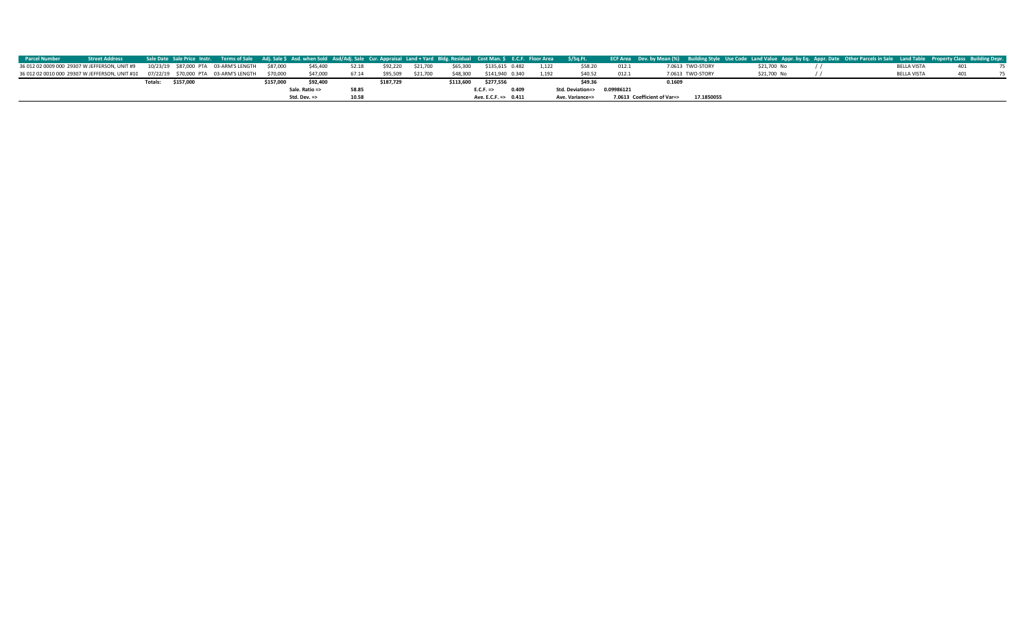| <b>Parcel Number</b> |                                                                                         |                |           |                                                |           |                         |       |           |          |           |                                 |       |                  |            |                             |                  | Street Address Sale Date Sale Price Instr. Terms of Sale Adj. Sale Sasd. when Sold Asd/Adj. Sale Cur. Appraisal Land + Yard Bldg. Residual Cost Man. \$ E.C.F. Floor Area \$/Sq.Ft. ECF Area Dev. by Mean (%) Building Style Use |  |                    |  |
|----------------------|-----------------------------------------------------------------------------------------|----------------|-----------|------------------------------------------------|-----------|-------------------------|-------|-----------|----------|-----------|---------------------------------|-------|------------------|------------|-----------------------------|------------------|----------------------------------------------------------------------------------------------------------------------------------------------------------------------------------------------------------------------------------|--|--------------------|--|
|                      | 36 012 02 0009 000 29307 W JEFFERSON, UNIT #9                                           |                |           | 10/23/19 \$87,000 PTA 03-ARM'S LENGTH \$87,000 |           | \$45,400                | 52.18 | \$92.220  | \$21,700 | \$65,300  | \$135.615 0.482                 | 1.122 | \$58.20          | 012.1      |                             | 7.0613 TWO-STORY | \$21,700 No                                                                                                                                                                                                                      |  | <b>BELLA VISTA</b> |  |
|                      | 36 012 02 0010 000 29307 W JEFFERSON, UNIT #10  07/22/19  \$70,000 PTA  03-ARM'S LENGTH |                |           |                                                | \$70,000  | \$47.000                | 67.14 | \$95.509  | \$21,700 | \$48,300  | \$141.940 0.340                 | 1.192 | \$40.52          | 012.1      |                             | 7.0613 TWO-STORY | \$21,700 No                                                                                                                                                                                                                      |  | <b>BELLA VISTA</b> |  |
|                      |                                                                                         | <b>Totals:</b> | \$157,000 |                                                | \$157.000 | \$92,400                |       | \$187,729 |          | \$113.600 | \$277.556                       |       | \$49.36          |            | 0.1609                      |                  |                                                                                                                                                                                                                                  |  |                    |  |
|                      |                                                                                         |                |           |                                                |           | Sale. Ratio =>          | 58.85 |           |          |           | 0.409<br>$E.C.F. =>$            |       | Std. Deviation=> | 0.09986121 |                             |                  |                                                                                                                                                                                                                                  |  |                    |  |
|                      |                                                                                         |                |           |                                                |           | Std. Dev. $\Rightarrow$ | 10.58 |           |          |           | Ave. E.C.F. $\Rightarrow$ 0.411 |       | Ave. Variance=>  |            | 7.0613 Coefficient of Var=> | 17.1850055       |                                                                                                                                                                                                                                  |  |                    |  |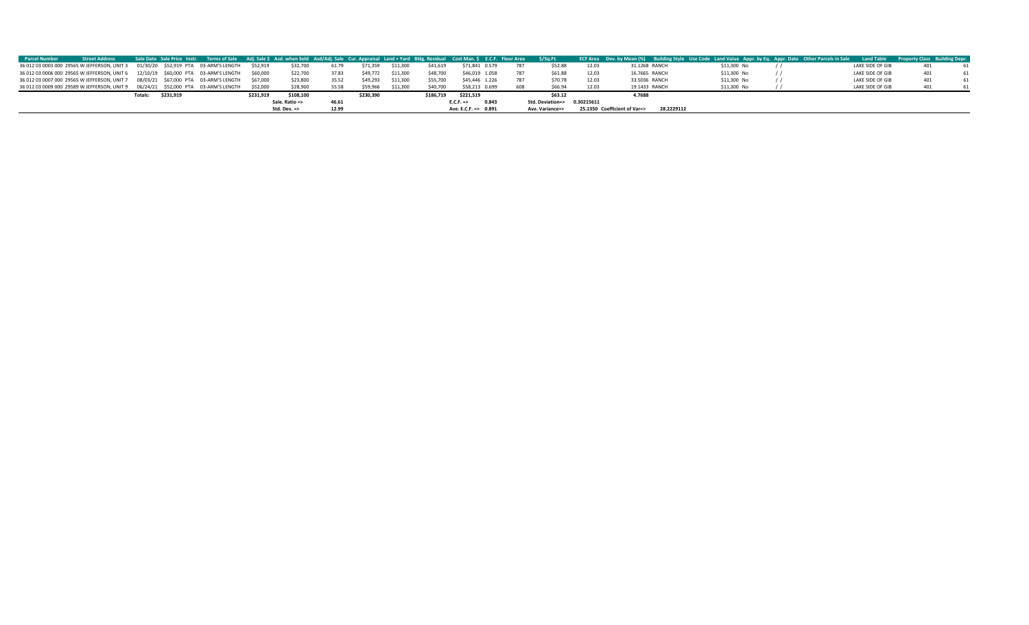| <b>Parcel Number</b> | <b>Street Address</b>                                                                       | Sale Date Sale Price Instr. Terms of Sale Adj. Sale \$Asd. when Sold Asd/Adj. Sale Cur. Appraisal Land + Yard Bldg. Residual Cost Man. \$E.C.F. Floor Area \$/Sq.Ft. |           |                         |       |           |          |           |                      |     |                             |       | ECF Area Dev. by Mean (%) Building Style Use Code Land Value Appr. by Eq. Appr. Date Other Parcels in Sale Land Table Property Class Building Depr. |             |                  |  |
|----------------------|---------------------------------------------------------------------------------------------|----------------------------------------------------------------------------------------------------------------------------------------------------------------------|-----------|-------------------------|-------|-----------|----------|-----------|----------------------|-----|-----------------------------|-------|-----------------------------------------------------------------------------------------------------------------------------------------------------|-------------|------------------|--|
|                      | 36 012 03 0003 000 29565 W JEFFERSON, UNIT 3 01/30/20 \$52,919 PTA 03-ARM'S LENGTH          |                                                                                                                                                                      | \$52.919  | \$32,700                | 61.79 | \$71,359  | \$11,300 | \$41,619  | \$71,841 0.579       |     | \$52.88                     | 12.03 | 31.1268 RANCH                                                                                                                                       | \$11,300 No | LAKE SIDE OF GIB |  |
|                      | 36 012 03 0006 000 29565 W JEFFERSON, UNIT 6 12/10/19 \$60,000 PTA 03-ARM'S LENGTH \$60,000 |                                                                                                                                                                      |           | \$22,700                | 37.83 | \$49,772  | \$11.300 | \$48,700  | \$46,019 1.058       |     | \$61.88                     | 12.03 | 16,7665 RANCH                                                                                                                                       | \$11,300 No | LAKE SIDE OF GIB |  |
|                      | 36 012 03 0007 000 29565 W JEFFERSON, UNIT 7 08/03/21 \$67,000 PTA 03-ARM'S LENGTH          |                                                                                                                                                                      | \$67,000  | \$23,800                | 35.52 | \$49,293  | \$11,300 | \$55,700  | \$45,446 1.226       |     | \$70.78                     | 12.03 | 33.5036 RANCH                                                                                                                                       | \$11,300 No | LAKE SIDE OF GIB |  |
|                      | 36 012 03 0009 000 29589 W JEFFERSON, UNIT 9  06/24/21  \$52,000 PTA  03-ARM'S LENGTH       |                                                                                                                                                                      | \$52,000  | \$28,900                | 55.58 | \$59,966  | \$11.300 | \$40,700  | \$58,213 0.699       | 608 | \$66.94                     | 12.03 | 19.1433 RANCH                                                                                                                                       | \$11,300 No | LAKE SIDE OF GIB |  |
|                      |                                                                                             | \$231,919<br>Totals:                                                                                                                                                 | \$231.919 | \$108,100               |       | \$230.390 |          | \$186.719 | \$221,519            |     | \$63.12                     |       | 4.7688                                                                                                                                              |             |                  |  |
|                      |                                                                                             |                                                                                                                                                                      |           | Sale. Ratio =>          | 46.61 |           |          |           | $E.C.F. =>$<br>0.843 |     | Std. Deviation=> 0.30215611 |       |                                                                                                                                                     |             |                  |  |
|                      |                                                                                             |                                                                                                                                                                      |           | Std. Dev. $\Rightarrow$ | 12.99 |           |          |           | Ave. E.C.F. => 0.891 |     | Ave. Variance=>             |       | 25.1350 Coefficient of Var=><br>28.2229112                                                                                                          |             |                  |  |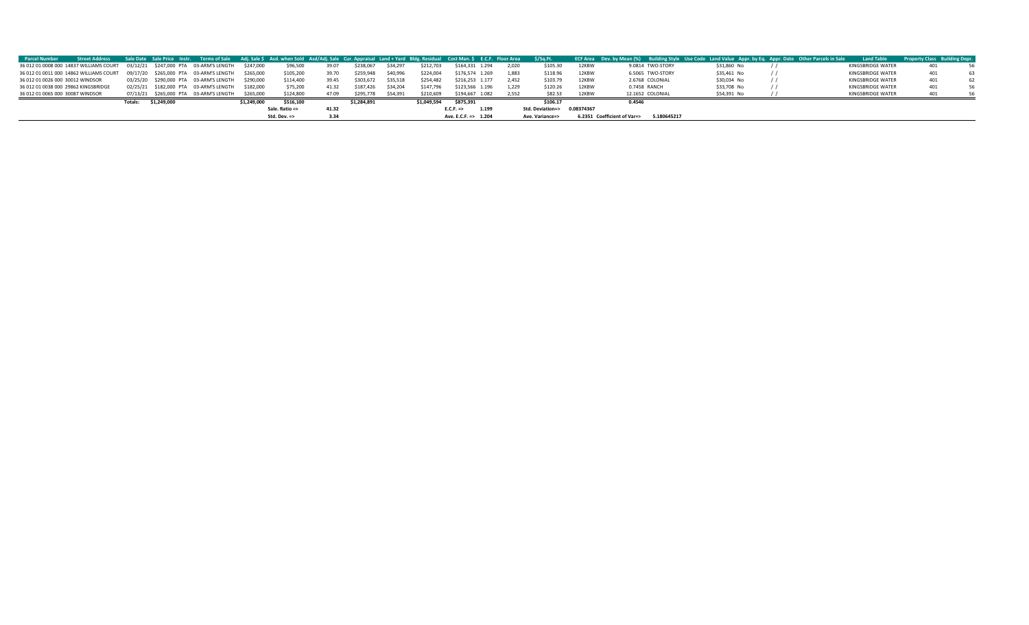| <b>Parcel Number</b>             | <b>Street Address</b>                | Sale Date Sale Price Instr. Terms of Sale Adj. Sale \$ Asd. when Sold Asd/Adj. Sale Cur. Appraisal Land + Yard Bldg. Residual Cost Man. \$ E.C.F. Floor Area \$/Sq.Ft. |  |             |                         |       |             |          |             |                      |       |                             |       | ECF Area Dev. by Mean (%) Building Style Use Code Land Value Appr. by Eq. Appr. Date Other Parcels in Sale |             | <b>Land Table</b> | <b>Property Class Building Depr.</b> |  |
|----------------------------------|--------------------------------------|------------------------------------------------------------------------------------------------------------------------------------------------------------------------|--|-------------|-------------------------|-------|-------------|----------|-------------|----------------------|-------|-----------------------------|-------|------------------------------------------------------------------------------------------------------------|-------------|-------------------|--------------------------------------|--|
|                                  |                                      | 36 012 01 0008 000 14837 WILLIAMS COURT 03/12/21 \$247,000 PTA 03-ARM'S LENGTH                                                                                         |  | \$247,000   | \$96,500                | 39.07 | \$238,067   | \$34,29  | \$212,703   | \$164,331 1.294      | 2.020 | \$105.30                    | 12KBW | 9.0814 TWO-STORY                                                                                           | \$31,860 No | KINGSBRIDGE WATER | 401                                  |  |
|                                  |                                      | 36 012 01 0011 000 14862 WILLIAMS COURT  09/17/20  \$265,000 PTA  03-ARM'S LENGTH                                                                                      |  | \$265,000   | \$105,200               | 39.70 | \$259,948   | \$40,996 | \$224,004   | \$176.574 1.269      | 1.883 | \$118.96                    | 12KBW | 6.5065 TWO-STORY                                                                                           | \$35,461 No | KINGSBRIDGE WATER |                                      |  |
| 36 012 01 0026 000 30012 WINDSOR |                                      | 03/25/20 \$290,000 PTA 03-ARM'S LENGTH                                                                                                                                 |  | \$290,000   | \$114,400               | 39.45 | \$303.672   | \$35,518 | \$254,482   | \$216,253 1.177      | 2.452 | \$103.79                    | 12KBW | 2.6768 COLONIAL                                                                                            | \$30,034 No | KINGSBRIDGE WATER | 401                                  |  |
|                                  | 36 012 01 0038 000 29862 KINGSBRIDGE | 02/25/21 \$182,000 PTA 03-ARM'S LENGTH                                                                                                                                 |  | \$182.000   | \$75,200                | 41.32 | \$187.426   | \$34.204 | \$147,796   | \$123.566 1.196      | 1.229 | \$120.26                    | 12KBW | 0.7458 RANCH                                                                                               | \$33,708 No | KINGSBRIDGE WATER | 401                                  |  |
| 36 012 01 0065 000 30087 WINDSOR |                                      | 07/13/21 \$265,000 PTA 03-ARM'S LENGTH                                                                                                                                 |  | \$265,000   | \$124,800               | 47.09 | \$295,778   | \$54.391 | \$210,609   | \$194.667 1.082      | 2.552 | \$82.53                     | 12KBW | 12.1652 COLONIAL                                                                                           | \$54.391 No | KINGSBRIDGE WATER | 401                                  |  |
|                                  |                                      | \$1,249,000<br>Totals:                                                                                                                                                 |  | \$1.249.000 | \$516.100               |       | \$1.284.891 |          | \$1,049,594 | \$875,391            |       | \$106.17                    |       | 0.4546                                                                                                     |             |                   |                                      |  |
|                                  |                                      |                                                                                                                                                                        |  |             | Sale. Ratio =>          | 41.32 |             |          |             | E.C.F.<br>1.199      |       | Std. Deviation=> 0.08374367 |       |                                                                                                            |             |                   |                                      |  |
|                                  |                                      |                                                                                                                                                                        |  |             | Std. Dev. $\Rightarrow$ |       |             |          |             | Ave. E.C.F. => 1.204 |       | Ave. Variance=>             |       | 5.180645217<br>6.2351 Coefficient of Var=>                                                                 |             |                   |                                      |  |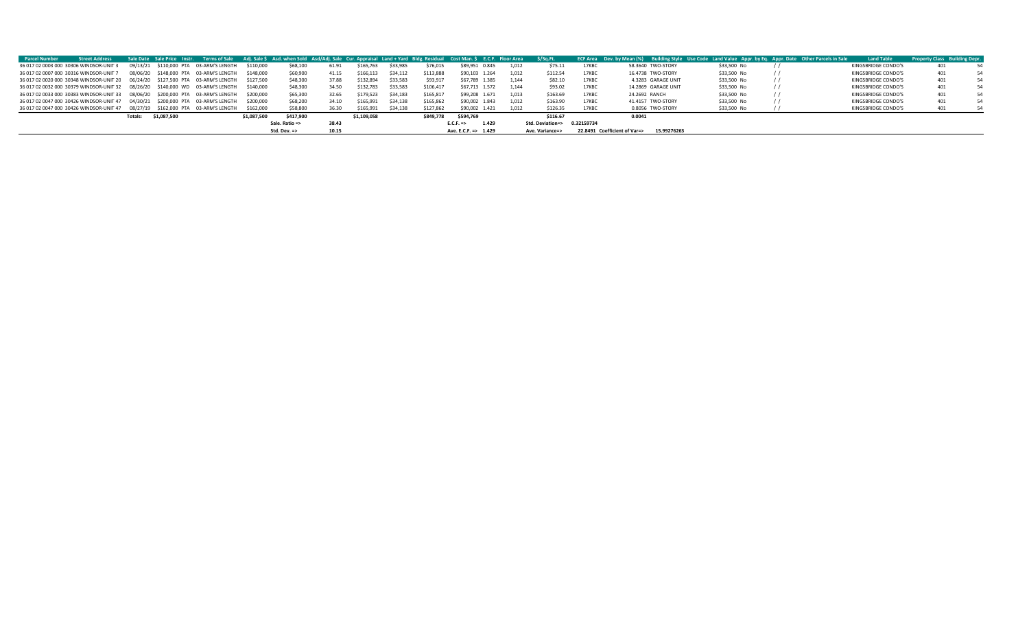| <b>Parcel Number</b> | <b>Street Address</b>                                                                    |          |             |                                        |             |                         |       |             |                               |           | Sale Date Sale Price Instr. Terms of Sale Adj. Sale \$ Asd. when Sold Asd/Adj. Sale Cur. Appraisal Land + Yard Bldg. Residual Cost Man. \$ E.C.F. Floor Area \$/Sq.Ft. |                                |                 |       |                                             |             | ECF Area Dev. by Mean (%) Building Style Use Code Land Value Appr. by Eq. Appr. Date Other Parcels in Sale | <b>Land Table</b>   | <b>Property Class</b> Building Depr. |    |
|----------------------|------------------------------------------------------------------------------------------|----------|-------------|----------------------------------------|-------------|-------------------------|-------|-------------|-------------------------------|-----------|------------------------------------------------------------------------------------------------------------------------------------------------------------------------|--------------------------------|-----------------|-------|---------------------------------------------|-------------|------------------------------------------------------------------------------------------------------------|---------------------|--------------------------------------|----|
|                      | 36 017 02 0003 000 30306 WINDSOR-UNIT 3                                                  |          |             | 09/13/21 \$110,000 PTA 03-ARM'S LENGTH | \$110,000   | \$68,100                | 61.91 | \$165,763   | \$33,985                      | \$76,015  | \$89,951 0.845                                                                                                                                                         | 1.012                          | \$75.11         | 17KBC | 58.3640 TWO-STORY                           | \$33,500 No |                                                                                                            | KINGSBRIDGE CONDO'S | 401                                  |    |
|                      | 36 017 02 0007 000 30316 WINDSOR-UNIT 7                                                  | 08/06/20 |             | \$148.000 PTA 03-ARM'S LENGTH          | \$148,000   | \$60,900                | 41.15 | \$166,113   | \$34.112                      | \$113,888 | \$90.103 1.264                                                                                                                                                         | 1.012                          | \$112.54        | 17KBC | 16.4738 TWO-STORY                           | \$33,500 No |                                                                                                            | KINGSBRIDGE CONDO'S | 401                                  | 54 |
|                      | 36 017 02 0020 000 30348 WINDSOR-UNIT 20  06/24/20  \$127,500 PTA  03-ARM'S LENGTH       |          |             |                                        | \$127.500   | \$48,300                | 37.88 | \$132,894   | \$33,583                      | \$93,917  | \$67,789 1.385                                                                                                                                                         | 1.144                          | \$82.10         | 17KBC | 4.3283 GARAGE UNIT                          | \$33,500 No |                                                                                                            | KINGSBRIDGE CONDO'S | 401                                  | 54 |
|                      | 36 017 02 0032 000 30379 WINDSOR-UNIT 32 08/26/20 \$140,000 WD 03-ARM'S LENGTH \$140,000 |          |             |                                        |             | \$48,300                | 34.50 | \$132,783   | \$33,583                      | \$106,417 | \$67,713 1.572                                                                                                                                                         | 1.144                          | \$93.02         | 17KBC | 14.2869 GARAGE UNIT                         | \$33,500 No |                                                                                                            | KINGSBRIDGE CONDO'S | 401                                  |    |
|                      | 36 017 02 0033 000 30383 WINDSOR-UNIT 33 08/06/20 \$200,000 PTA 03-ARM'S LENGTH          |          |             |                                        | \$200,000   | \$65,300                | 32.65 | \$179,523   | \$34,183                      | \$165,817 | \$99,208 1.671                                                                                                                                                         | 1,013                          | \$163.69        | 17KBC | 24.2692 RANCH                               | \$33,500 No |                                                                                                            | KINGSBRIDGE CONDO'S | 401                                  |    |
|                      | 36 017 02 0047 000 30426 WINDSOR-UNIT 47 04/30/21 \$200,000 PTA 03-ARM'S LENGTH          |          |             |                                        | \$200,000   | \$68,200                | 34.10 | \$165,991   | \$34.138                      | \$165,862 | \$90,002 1.843                                                                                                                                                         | 1.012                          | \$163.90        | 17KBC | 41.4157 TWO-STORY                           | \$33,500 No |                                                                                                            | KINGSBRIDGE CONDO'S | 401                                  | 54 |
|                      | 36 017 02 0047 000 30426 WINDSOR-UNIT 47 08/27/19 \$162,000 PTA 03-ARM'S LENGTH          |          |             |                                        | \$162,000   | \$58,800                | 36.30 | \$165,991   | \$34.138                      | \$127,862 | \$90,002 1.421                                                                                                                                                         | 1.012                          | \$126.35        | 17KBC | 0.8056 TWO-STORY                            | \$33,500 No |                                                                                                            | KINGSBRIDGE CONDO'S | 401                                  |    |
|                      |                                                                                          | Totals:  | \$1,087,500 |                                        | \$1,087,500 | \$417.900               |       | \$1.109.058 |                               | \$849.778 | \$594,769                                                                                                                                                              |                                | \$116.67        |       | 0.0041                                      |             |                                                                                                            |                     |                                      |    |
|                      |                                                                                          |          |             | Sale. Ratio =>                         |             | 38.43                   |       |             | $E.C.F. \Rightarrow$<br>1.429 |           |                                                                                                                                                                        | 0.32159734<br>Std. Deviation=> |                 |       |                                             |             |                                                                                                            |                     |                                      |    |
|                      |                                                                                          |          |             |                                        |             | Std. Dev. $\Rightarrow$ | 10.15 |             |                               |           | Ave. E.C.F. => 1.429                                                                                                                                                   |                                | Ave. Variance=> |       | 15.99276263<br>22,8491 Coefficient of Var=> |             |                                                                                                            |                     |                                      |    |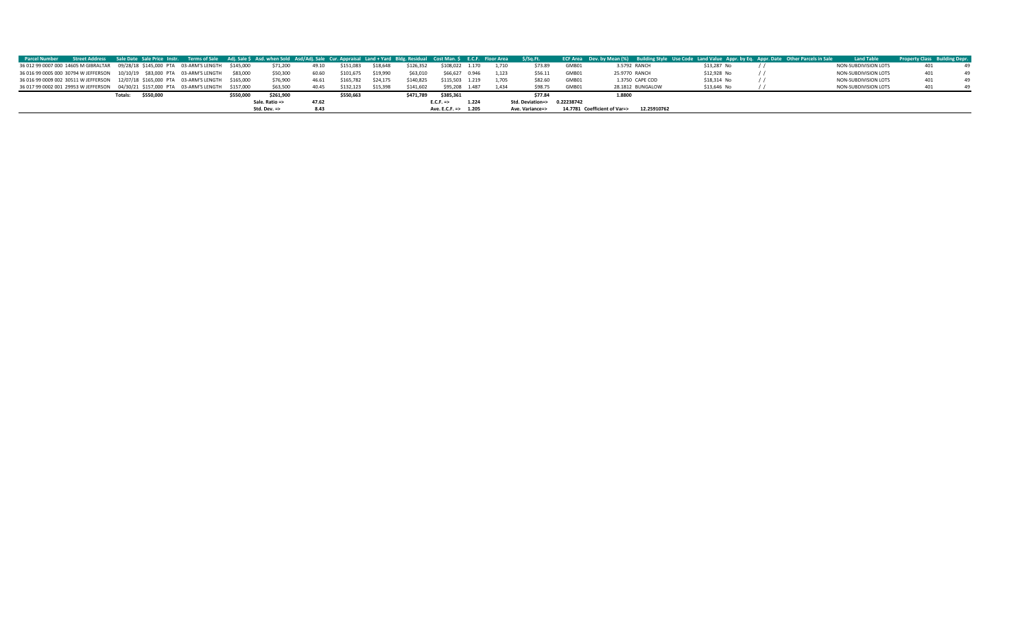|  | Parcel Number Street Address Sale Date Sale Price Instr. Terms of Sale Adj. Sale \$ Asd. when Sold Asd/Adj. Sale Cur. Appraisal Land + Yard Bldg. Residual Cost Man. \$ E.C.F. Floor Area \$/Sq.Ft. |                |                         |       |           |          |           |                               |       |                                |       | ECF Area Dev. by Mean (%) Building Style Use Code Land Value Appr. by Eq. Appr. Date Other Parcels in Sale |             | <b>Land Table</b>           | <b>Property Class Building Depr.</b> |  |
|--|-----------------------------------------------------------------------------------------------------------------------------------------------------------------------------------------------------|----------------|-------------------------|-------|-----------|----------|-----------|-------------------------------|-------|--------------------------------|-------|------------------------------------------------------------------------------------------------------------|-------------|-----------------------------|--------------------------------------|--|
|  | 36 012 99 0007 000 14605 M GIBRALTAR 09/28/18 \$145,000 PTA 03-ARM'S LENGTH \$145,000                                                                                                               |                | \$71,200                | 49.10 | \$151,083 | \$18,648 | \$126,352 | \$108,022 1.170               | 1.710 | \$73.89                        | GMB01 | 3.5792 RANCH                                                                                               | \$13,287 No | <b>NON-SUBDIVISION LOTS</b> |                                      |  |
|  | 36 016 99 0005 000 30794 W JEFFERSON 10/10/19 \$83,000 PTA 03-ARM'S LENGTH \$83,000                                                                                                                 |                | \$50,300                | 60.60 | \$101,675 | \$19,990 | \$63,010  | \$66,627 0.946                | 1.123 | \$56.11                        | GMB01 | 25.9770 RANCH                                                                                              | \$12,928 No | NON-SUBDIVISION LOTS        |                                      |  |
|  | 36 016 99 0009 002 30511 W JEFFERSON 12/07/18 \$165,000 PTA 03-ARM'S LENGTH \$165,000                                                                                                               |                | \$76,900                | 46.61 | \$165,782 | \$24.175 | \$140,825 | \$115,503 1.219               | 1.705 | \$82.60                        | GMB01 | 1.3750 CAPE COD                                                                                            | \$18,314 No | NON-SUBDIVISION LOTS        |                                      |  |
|  | 36 017 99 0002 001 29953 W JEFFERSON  04/30/21 \$157,000 PTA  03-ARM'S LENGTH  \$157,000                                                                                                            |                | \$63,500                | 40.45 | \$132,123 | \$15.398 | \$141,602 | \$95,208 1.487                | 1.434 | \$98.75                        | GMB01 | 28.1812 BUNGALOW                                                                                           | \$13,646 No | NON-SUBDIVISION LOTS        |                                      |  |
|  | \$550,000<br>Totals:                                                                                                                                                                                | \$550.000      | \$261,900               |       | \$550,663 |          | \$471.789 | \$385,361                     |       | \$77.84                        |       | 1,8800                                                                                                     |             |                             |                                      |  |
|  |                                                                                                                                                                                                     | Sale. Ratio => |                         | 47.62 |           |          |           | 1.224<br>$E.C.F. \Rightarrow$ |       | Std. Deviation=><br>0.22238742 |       |                                                                                                            |             |                             |                                      |  |
|  |                                                                                                                                                                                                     |                | Std. Dev. $\Rightarrow$ | 8.43  |           |          |           | Ave. E.C.F. => 1.205          |       | Ave. Variance=>                |       | 12.25910762<br>14.7781 Coefficient of Var=>                                                                |             |                             |                                      |  |